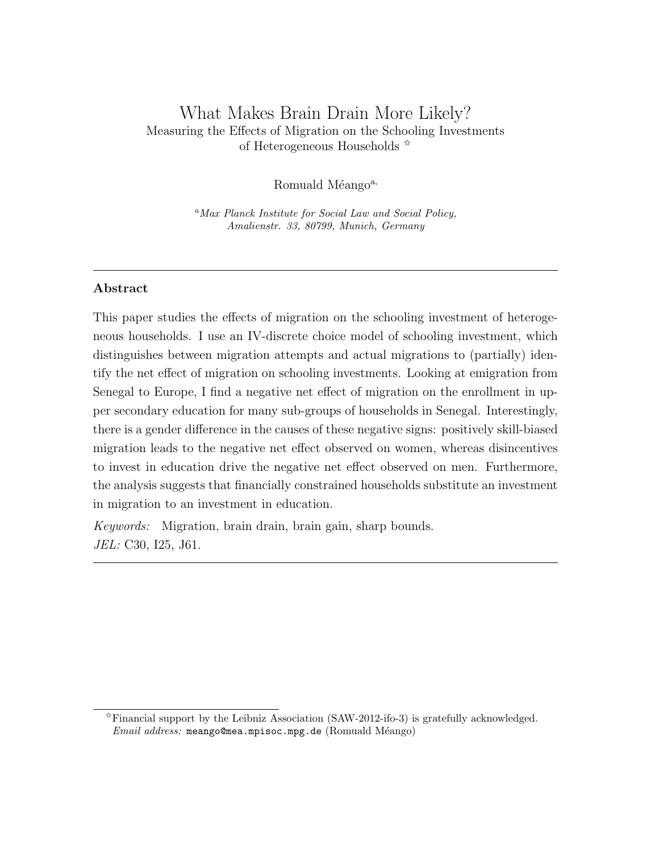# What Makes Brain Drain More Likely? Measuring the Effects of Migration on the Schooling Investments of Heterogeneous Households  $\mathbb{\dot{\mathsf{x}}}$

Romuald Méango<sup>a,</sup>

<sup>a</sup>Max Planck Institute for Social Law and Social Policy, Amalienstr. 33, 80799, Munich, Germany

# Abstract

This paper studies the effects of migration on the schooling investment of heterogeneous households. I use an IV-discrete choice model of schooling investment, which distinguishes between migration attempts and actual migrations to (partially) identify the net effect of migration on schooling investments. Looking at emigration from Senegal to Europe, I find a negative net effect of migration on the enrollment in upper secondary education for many sub-groups of households in Senegal. Interestingly, there is a gender difference in the causes of these negative signs: positively skill-biased migration leads to the negative net effect observed on women, whereas disincentives to invest in education drive the negative net effect observed on men. Furthermore, the analysis suggests that financially constrained households substitute an investment in migration to an investment in education.

Keywords: Migration, brain drain, brain gain, sharp bounds. JEL: C30, I25, J61.

 $\hat{\tau}$ Financial support by the Leibniz Association (SAW-2012-ifo-3) is gratefully acknowledged.  $Email \ address: \$ meango@mea.mpisoc.mpg.de (Romuald Méango)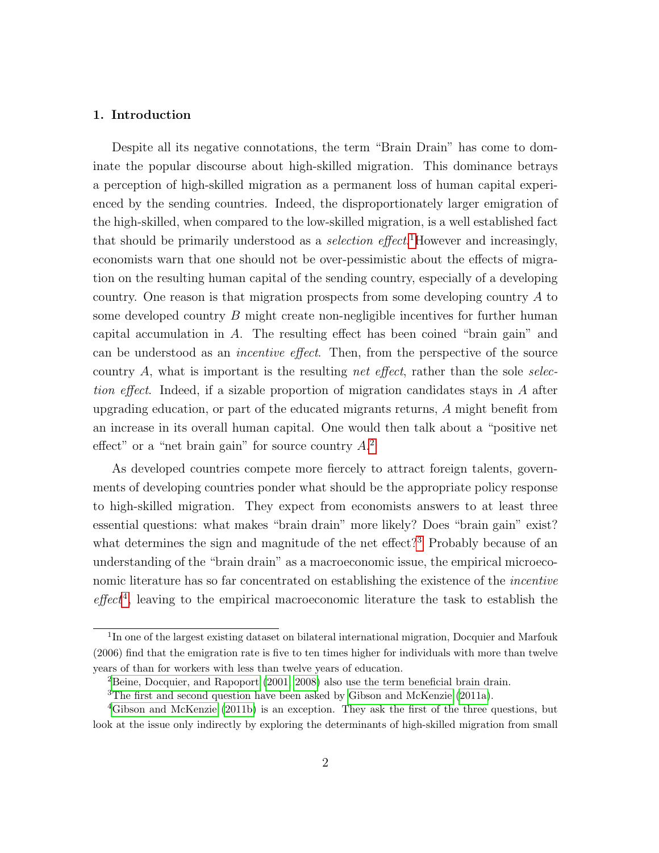# 1. Introduction

Despite all its negative connotations, the term "Brain Drain" has come to dominate the popular discourse about high-skilled migration. This dominance betrays a perception of high-skilled migration as a permanent loss of human capital experienced by the sending countries. Indeed, the disproportionately larger emigration of the high-skilled, when compared to the low-skilled migration, is a well established fact that should be primarily understood as a *selection effect*.<sup>[1](#page-1-0)</sup>However and increasingly, economists warn that one should not be over-pessimistic about the effects of migration on the resulting human capital of the sending country, especially of a developing country. One reason is that migration prospects from some developing country A to some developed country B might create non-negligible incentives for further human capital accumulation in A. The resulting effect has been coined "brain gain" and can be understood as an incentive effect. Then, from the perspective of the source country  $A$ , what is important is the resulting *net effect*, rather than the sole selection effect. Indeed, if a sizable proportion of migration candidates stays in A after upgrading education, or part of the educated migrants returns, A might benefit from an increase in its overall human capital. One would then talk about a "positive net effect" or a "net brain gain" for source country  $A<sup>2</sup>$  $A<sup>2</sup>$  $A<sup>2</sup>$ .

As developed countries compete more fiercely to attract foreign talents, governments of developing countries ponder what should be the appropriate policy response to high-skilled migration. They expect from economists answers to at least three essential questions: what makes "brain drain" more likely? Does "brain gain" exist? what determines the sign and magnitude of the net effect?<sup>[3](#page-1-2)</sup> Probably because of an understanding of the "brain drain" as a macroeconomic issue, the empirical microeconomic literature has so far concentrated on establishing the existence of the incentive  $effect<sup>4</sup>$  $effect<sup>4</sup>$  $effect<sup>4</sup>$ , leaving to the empirical macroeconomic literature the task to establish the

<span id="page-1-0"></span><sup>&</sup>lt;sup>1</sup>In one of the largest existing dataset on bilateral international migration, Docquier and Marfouk (2006) find that the emigration rate is five to ten times higher for individuals with more than twelve years of than for workers with less than twelve years of education.

<span id="page-1-2"></span><span id="page-1-1"></span><sup>2</sup>[Beine, Docquier, and Rapoport](#page-35-0) [\(2001,](#page-35-0) [2008\)](#page-35-1) also use the term beneficial brain drain.

<span id="page-1-3"></span><sup>&</sup>lt;sup>3</sup>The first and second question have been asked by [Gibson and McKenzie](#page-36-0) [\(2011a\)](#page-36-0).

<sup>4</sup>[Gibson and McKenzie](#page-36-1) [\(2011b\)](#page-36-1) is an exception. They ask the first of the three questions, but look at the issue only indirectly by exploring the determinants of high-skilled migration from small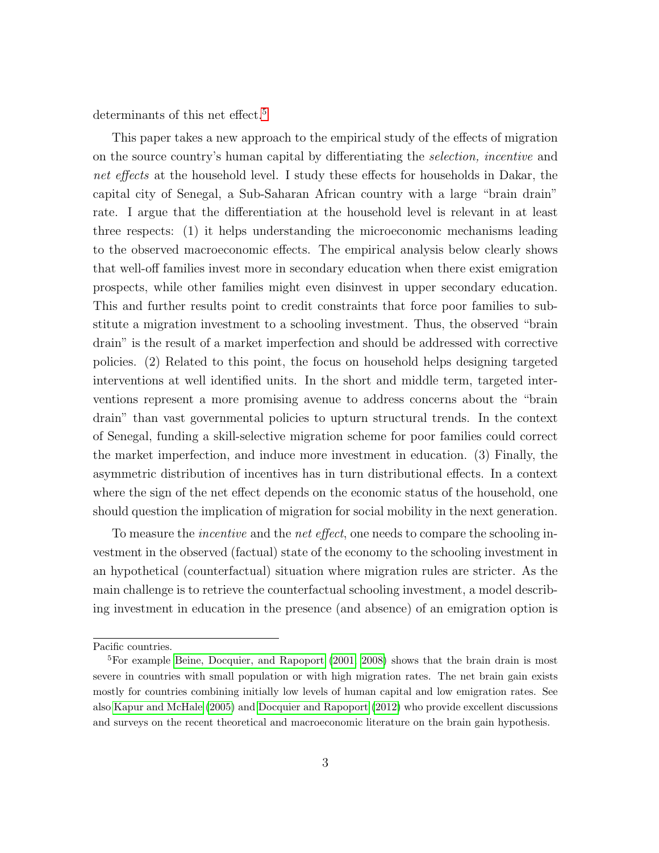determinants of this net effect.<sup>[5](#page-2-0)</sup>

This paper takes a new approach to the empirical study of the effects of migration on the source country's human capital by differentiating the selection, incentive and net effects at the household level. I study these effects for households in Dakar, the capital city of Senegal, a Sub-Saharan African country with a large "brain drain" rate. I argue that the differentiation at the household level is relevant in at least three respects: (1) it helps understanding the microeconomic mechanisms leading to the observed macroeconomic effects. The empirical analysis below clearly shows that well-off families invest more in secondary education when there exist emigration prospects, while other families might even disinvest in upper secondary education. This and further results point to credit constraints that force poor families to substitute a migration investment to a schooling investment. Thus, the observed "brain drain" is the result of a market imperfection and should be addressed with corrective policies. (2) Related to this point, the focus on household helps designing targeted interventions at well identified units. In the short and middle term, targeted interventions represent a more promising avenue to address concerns about the "brain drain" than vast governmental policies to upturn structural trends. In the context of Senegal, funding a skill-selective migration scheme for poor families could correct the market imperfection, and induce more investment in education. (3) Finally, the asymmetric distribution of incentives has in turn distributional effects. In a context where the sign of the net effect depends on the economic status of the household, one should question the implication of migration for social mobility in the next generation.

To measure the incentive and the net effect, one needs to compare the schooling investment in the observed (factual) state of the economy to the schooling investment in an hypothetical (counterfactual) situation where migration rules are stricter. As the main challenge is to retrieve the counterfactual schooling investment, a model describing investment in education in the presence (and absence) of an emigration option is

<span id="page-2-0"></span>Pacific countries.

<sup>&</sup>lt;sup>5</sup>For example [Beine, Docquier, and Rapoport](#page-35-0)  $(2001, 2008)$  $(2001, 2008)$  shows that the brain drain is most severe in countries with small population or with high migration rates. The net brain gain exists mostly for countries combining initially low levels of human capital and low emigration rates. See also [Kapur and McHale](#page-37-0) [\(2005\)](#page-37-0) and [Docquier and Rapoport](#page-36-2) [\(2012\)](#page-36-2) who provide excellent discussions and surveys on the recent theoretical and macroeconomic literature on the brain gain hypothesis.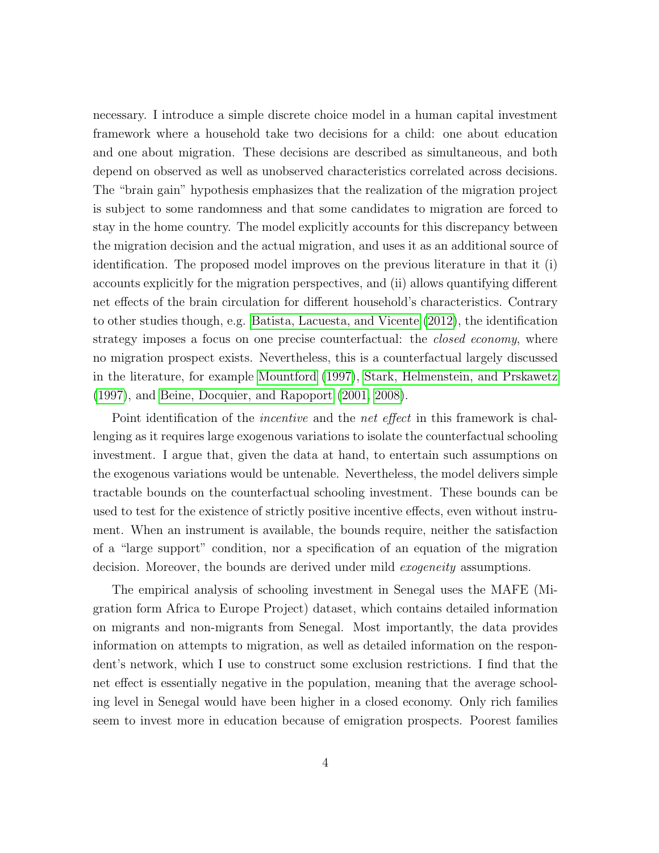necessary. I introduce a simple discrete choice model in a human capital investment framework where a household take two decisions for a child: one about education and one about migration. These decisions are described as simultaneous, and both depend on observed as well as unobserved characteristics correlated across decisions. The "brain gain" hypothesis emphasizes that the realization of the migration project is subject to some randomness and that some candidates to migration are forced to stay in the home country. The model explicitly accounts for this discrepancy between the migration decision and the actual migration, and uses it as an additional source of identification. The proposed model improves on the previous literature in that it (i) accounts explicitly for the migration perspectives, and (ii) allows quantifying different net effects of the brain circulation for different household's characteristics. Contrary to other studies though, e.g. [Batista, Lacuesta, and Vicente](#page-35-2) [\(2012\)](#page-35-2), the identification strategy imposes a focus on one precise counterfactual: the *closed economy*, where no migration prospect exists. Nevertheless, this is a counterfactual largely discussed in the literature, for example [Mountford](#page-37-1) [\(1997\)](#page-37-1), [Stark, Helmenstein, and Prskawetz](#page-38-0) [\(1997\)](#page-38-0), and [Beine, Docquier, and Rapoport](#page-35-0) [\(2001,](#page-35-0) [2008\)](#page-35-1).

Point identification of the *incentive* and the *net effect* in this framework is challenging as it requires large exogenous variations to isolate the counterfactual schooling investment. I argue that, given the data at hand, to entertain such assumptions on the exogenous variations would be untenable. Nevertheless, the model delivers simple tractable bounds on the counterfactual schooling investment. These bounds can be used to test for the existence of strictly positive incentive effects, even without instrument. When an instrument is available, the bounds require, neither the satisfaction of a "large support" condition, nor a specification of an equation of the migration decision. Moreover, the bounds are derived under mild *exogeneity* assumptions.

The empirical analysis of schooling investment in Senegal uses the MAFE (Migration form Africa to Europe Project) dataset, which contains detailed information on migrants and non-migrants from Senegal. Most importantly, the data provides information on attempts to migration, as well as detailed information on the respondent's network, which I use to construct some exclusion restrictions. I find that the net effect is essentially negative in the population, meaning that the average schooling level in Senegal would have been higher in a closed economy. Only rich families seem to invest more in education because of emigration prospects. Poorest families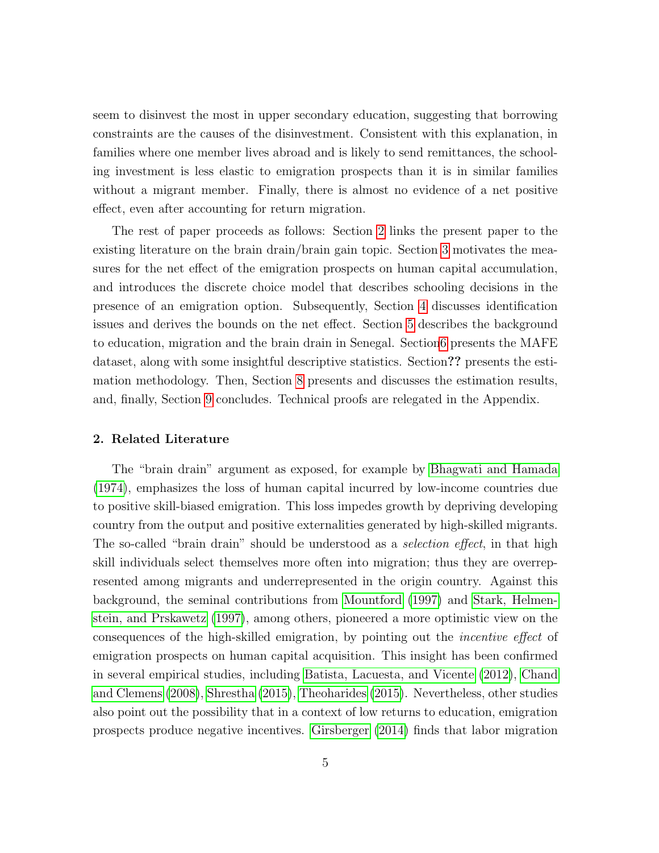seem to disinvest the most in upper secondary education, suggesting that borrowing constraints are the causes of the disinvestment. Consistent with this explanation, in families where one member lives abroad and is likely to send remittances, the schooling investment is less elastic to emigration prospects than it is in similar families without a migrant member. Finally, there is almost no evidence of a net positive effect, even after accounting for return migration.

The rest of paper proceeds as follows: Section [2](#page-4-0) links the present paper to the existing literature on the brain drain/brain gain topic. Section [3](#page-6-0) motivates the measures for the net effect of the emigration prospects on human capital accumulation, and introduces the discrete choice model that describes schooling decisions in the presence of an emigration option. Subsequently, Section [4](#page-13-0) discusses identification issues and derives the bounds on the net effect. Section [5](#page-17-0) describes the background to education, migration and the brain drain in Senegal. Sectio[n6](#page-19-0) presents the MAFE dataset, along with some insightful descriptive statistics. Section?? presents the estimation methodology. Then, Section [8](#page-26-0) presents and discusses the estimation results, and, finally, Section [9](#page-32-0) concludes. Technical proofs are relegated in the Appendix.

# <span id="page-4-0"></span>2. Related Literature

The "brain drain" argument as exposed, for example by [Bhagwati and Hamada](#page-35-3) [\(1974\)](#page-35-3), emphasizes the loss of human capital incurred by low-income countries due to positive skill-biased emigration. This loss impedes growth by depriving developing country from the output and positive externalities generated by high-skilled migrants. The so-called "brain drain" should be understood as a *selection effect*, in that high skill individuals select themselves more often into migration; thus they are overrepresented among migrants and underrepresented in the origin country. Against this background, the seminal contributions from [Mountford](#page-37-1) [\(1997\)](#page-37-1) and [Stark, Helmen](#page-38-0)[stein, and Prskawetz](#page-38-0) [\(1997\)](#page-38-0), among others, pioneered a more optimistic view on the consequences of the high-skilled emigration, by pointing out the incentive effect of emigration prospects on human capital acquisition. This insight has been confirmed in several empirical studies, including [Batista, Lacuesta, and Vicente](#page-35-2) [\(2012\)](#page-35-2), [Chand](#page-35-4) [and Clemens](#page-35-4) [\(2008\)](#page-35-4), [Shrestha](#page-38-1) [\(2015\)](#page-38-1), [Theoharides](#page-38-2) [\(2015\)](#page-38-2). Nevertheless, other studies also point out the possibility that in a context of low returns to education, emigration prospects produce negative incentives. [Girsberger](#page-36-3) [\(2014\)](#page-36-3) finds that labor migration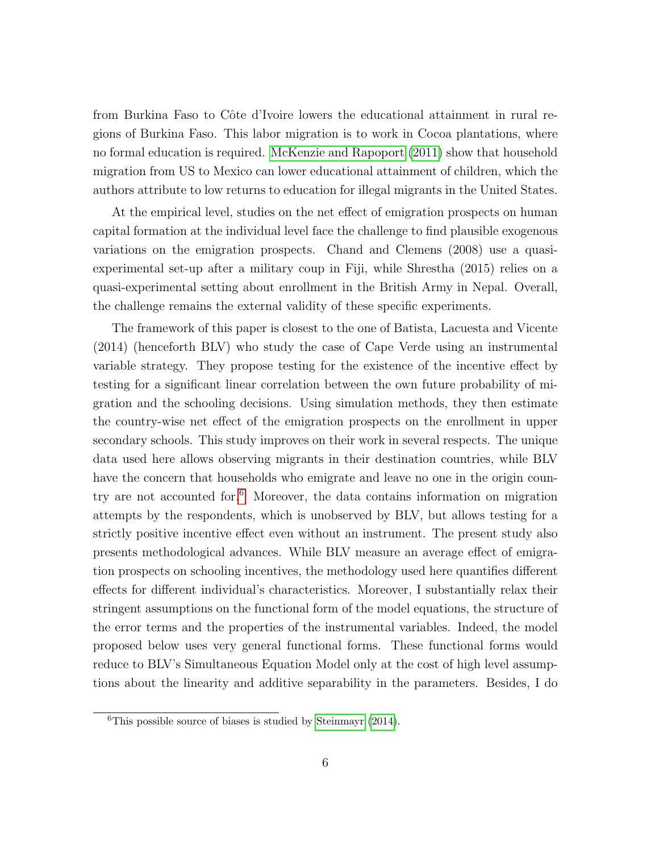from Burkina Faso to Côte d'Ivoire lowers the educational attainment in rural regions of Burkina Faso. This labor migration is to work in Cocoa plantations, where no formal education is required. [McKenzie and Rapoport](#page-37-2) [\(2011\)](#page-37-2) show that household migration from US to Mexico can lower educational attainment of children, which the authors attribute to low returns to education for illegal migrants in the United States.

At the empirical level, studies on the net effect of emigration prospects on human capital formation at the individual level face the challenge to find plausible exogenous variations on the emigration prospects. Chand and Clemens (2008) use a quasiexperimental set-up after a military coup in Fiji, while Shrestha (2015) relies on a quasi-experimental setting about enrollment in the British Army in Nepal. Overall, the challenge remains the external validity of these specific experiments.

The framework of this paper is closest to the one of Batista, Lacuesta and Vicente (2014) (henceforth BLV) who study the case of Cape Verde using an instrumental variable strategy. They propose testing for the existence of the incentive effect by testing for a significant linear correlation between the own future probability of migration and the schooling decisions. Using simulation methods, they then estimate the country-wise net effect of the emigration prospects on the enrollment in upper secondary schools. This study improves on their work in several respects. The unique data used here allows observing migrants in their destination countries, while BLV have the concern that households who emigrate and leave no one in the origin country are not accounted for.[6](#page-5-0) Moreover, the data contains information on migration attempts by the respondents, which is unobserved by BLV, but allows testing for a strictly positive incentive effect even without an instrument. The present study also presents methodological advances. While BLV measure an average effect of emigration prospects on schooling incentives, the methodology used here quantifies different effects for different individual's characteristics. Moreover, I substantially relax their stringent assumptions on the functional form of the model equations, the structure of the error terms and the properties of the instrumental variables. Indeed, the model proposed below uses very general functional forms. These functional forms would reduce to BLV's Simultaneous Equation Model only at the cost of high level assumptions about the linearity and additive separability in the parameters. Besides, I do

<span id="page-5-0"></span> ${}^{6}$ This possible source of biases is studied by [Steinmayr](#page-38-3) [\(2014\)](#page-38-3).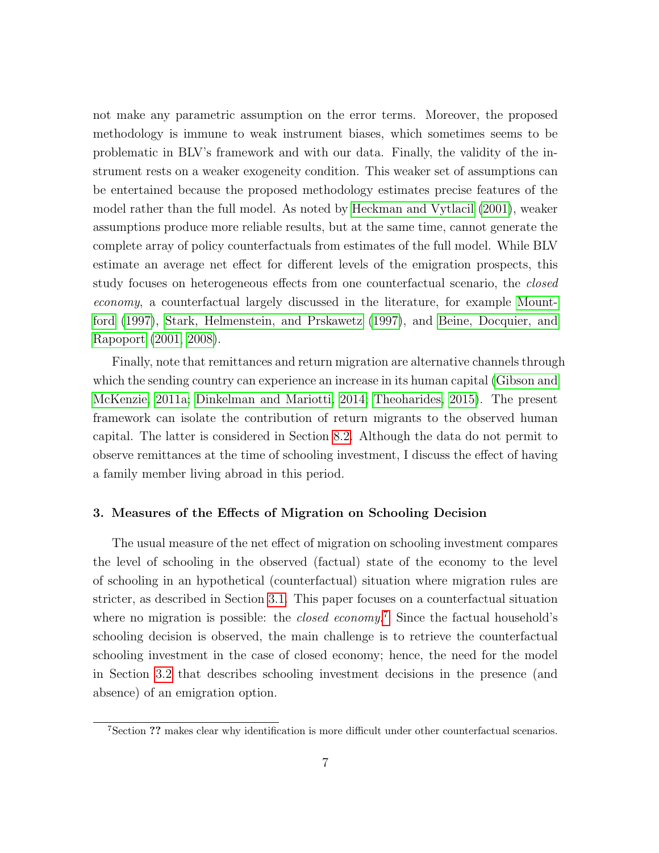not make any parametric assumption on the error terms. Moreover, the proposed methodology is immune to weak instrument biases, which sometimes seems to be problematic in BLV's framework and with our data. Finally, the validity of the instrument rests on a weaker exogeneity condition. This weaker set of assumptions can be entertained because the proposed methodology estimates precise features of the model rather than the full model. As noted by [Heckman and Vytlacil](#page-37-3) [\(2001\)](#page-37-3), weaker assumptions produce more reliable results, but at the same time, cannot generate the complete array of policy counterfactuals from estimates of the full model. While BLV estimate an average net effect for different levels of the emigration prospects, this study focuses on heterogeneous effects from one counterfactual scenario, the closed economy, a counterfactual largely discussed in the literature, for example [Mount](#page-37-1)[ford](#page-37-1) [\(1997\)](#page-37-1), [Stark, Helmenstein, and Prskawetz](#page-38-0) [\(1997\)](#page-38-0), and [Beine, Docquier, and](#page-35-0) [Rapoport](#page-35-0) [\(2001,](#page-35-0) [2008\)](#page-35-1).

Finally, note that remittances and return migration are alternative channels through which the sending country can experience an increase in its human capital [\(Gibson and](#page-36-0) [McKenzie, 2011a;](#page-36-0) [Dinkelman and Mariotti, 2014;](#page-36-4) [Theoharides, 2015\)](#page-38-2). The present framework can isolate the contribution of return migrants to the observed human capital. The latter is considered in Section [8.2.](#page-28-0) Although the data do not permit to observe remittances at the time of schooling investment, I discuss the effect of having a family member living abroad in this period.

### <span id="page-6-0"></span>3. Measures of the Effects of Migration on Schooling Decision

The usual measure of the net effect of migration on schooling investment compares the level of schooling in the observed (factual) state of the economy to the level of schooling in an hypothetical (counterfactual) situation where migration rules are stricter, as described in Section [3.1.](#page-7-0) This paper focuses on a counterfactual situation where no migration is possible: the *closed economy*.<sup>[7](#page-6-1)</sup> Since the factual household's schooling decision is observed, the main challenge is to retrieve the counterfactual schooling investment in the case of closed economy; hence, the need for the model in Section [3.2](#page-8-0) that describes schooling investment decisions in the presence (and absence) of an emigration option.

<span id="page-6-1"></span><sup>7</sup>Section ?? makes clear why identification is more difficult under other counterfactual scenarios.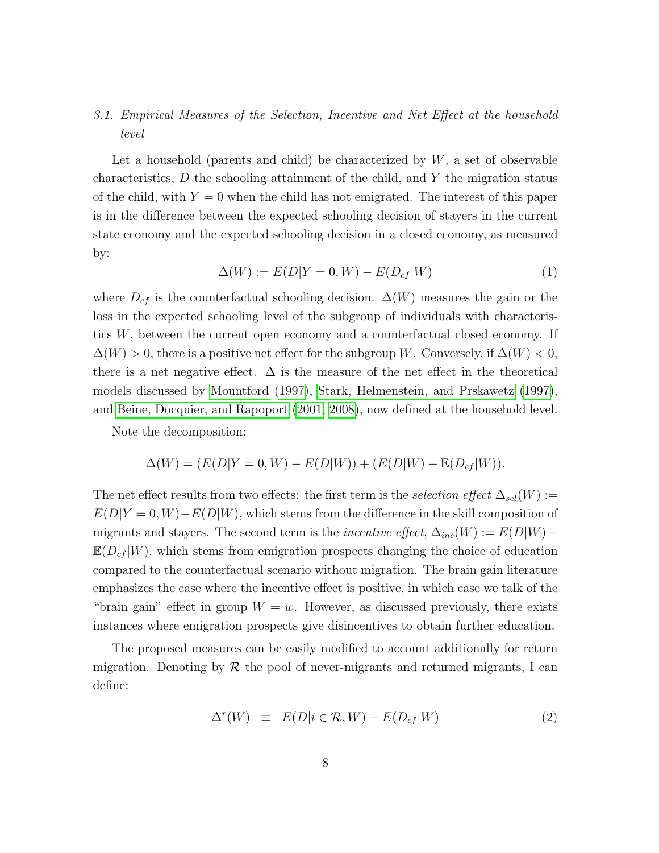# <span id="page-7-0"></span>3.1. Empirical Measures of the Selection, Incentive and Net Effect at the household level

Let a household (parents and child) be characterized by  $W$ , a set of observable characteristics,  $D$  the schooling attainment of the child, and  $Y$  the migration status of the child, with  $Y = 0$  when the child has not emigrated. The interest of this paper is in the difference between the expected schooling decision of stayers in the current state economy and the expected schooling decision in a closed economy, as measured by:

$$
\Delta(W) := E(D|Y=0, W) - E(D_{cf}|W)
$$
\n<sup>(1)</sup>

where  $D_{cf}$  is the counterfactual schooling decision.  $\Delta(W)$  measures the gain or the loss in the expected schooling level of the subgroup of individuals with characteristics W, between the current open economy and a counterfactual closed economy. If  $\Delta(W) > 0$ , there is a positive net effect for the subgroup W. Conversely, if  $\Delta(W) < 0$ , there is a net negative effect.  $\Delta$  is the measure of the net effect in the theoretical models discussed by [Mountford](#page-37-1) [\(1997\)](#page-37-1), [Stark, Helmenstein, and Prskawetz](#page-38-0) [\(1997\)](#page-38-0), and [Beine, Docquier, and Rapoport](#page-35-0) [\(2001,](#page-35-0) [2008\)](#page-35-1), now defined at the household level.

Note the decomposition:

$$
\Delta(W) = (E(D|Y=0,W) - E(D|W)) + (E(D|W) - E(D_{cf}|W)).
$$

The net effect results from two effects: the first term is the selection effect  $\Delta_{sel}(W) :=$  $E(D|Y=0, W) - E(D|W)$ , which stems from the difference in the skill composition of migrants and stayers. The second term is the *incentive effect*,  $\Delta_{inc}(W) := E(D|W) \mathbb{E}(D_{cf} | W)$ , which stems from emigration prospects changing the choice of education compared to the counterfactual scenario without migration. The brain gain literature emphasizes the case where the incentive effect is positive, in which case we talk of the "brain gain" effect in group  $W = w$ . However, as discussed previously, there exists instances where emigration prospects give disincentives to obtain further education.

The proposed measures can be easily modified to account additionally for return migration. Denoting by  $\mathcal R$  the pool of never-migrants and returned migrants, I can define:

$$
\Delta^r(W) \equiv E(D|i \in \mathcal{R}, W) - E(D_{cf}|W) \tag{2}
$$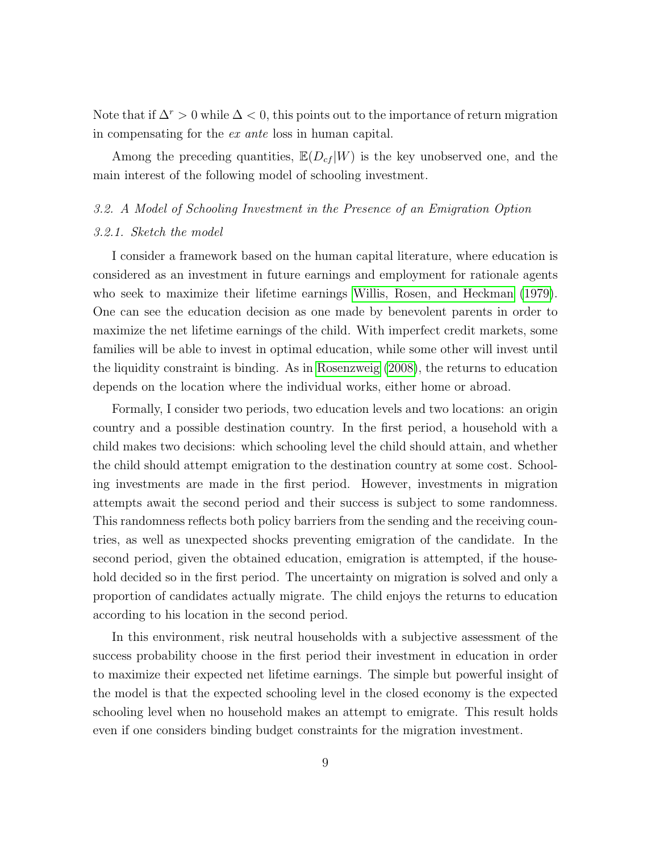Note that if  $\Delta^r > 0$  while  $\Delta < 0$ , this points out to the importance of return migration in compensating for the ex ante loss in human capital.

Among the preceding quantities,  $\mathbb{E}(D_{cf} | W)$  is the key unobserved one, and the main interest of the following model of schooling investment.

#### <span id="page-8-0"></span>3.2. A Model of Schooling Investment in the Presence of an Emigration Option

# 3.2.1. Sketch the model

I consider a framework based on the human capital literature, where education is considered as an investment in future earnings and employment for rationale agents who seek to maximize their lifetime earnings [Willis, Rosen, and Heckman](#page-38-4) [\(1979\)](#page-38-4). One can see the education decision as one made by benevolent parents in order to maximize the net lifetime earnings of the child. With imperfect credit markets, some families will be able to invest in optimal education, while some other will invest until the liquidity constraint is binding. As in [Rosenzweig](#page-38-5) [\(2008\)](#page-38-5), the returns to education depends on the location where the individual works, either home or abroad.

Formally, I consider two periods, two education levels and two locations: an origin country and a possible destination country. In the first period, a household with a child makes two decisions: which schooling level the child should attain, and whether the child should attempt emigration to the destination country at some cost. Schooling investments are made in the first period. However, investments in migration attempts await the second period and their success is subject to some randomness. This randomness reflects both policy barriers from the sending and the receiving countries, as well as unexpected shocks preventing emigration of the candidate. In the second period, given the obtained education, emigration is attempted, if the household decided so in the first period. The uncertainty on migration is solved and only a proportion of candidates actually migrate. The child enjoys the returns to education according to his location in the second period.

In this environment, risk neutral households with a subjective assessment of the success probability choose in the first period their investment in education in order to maximize their expected net lifetime earnings. The simple but powerful insight of the model is that the expected schooling level in the closed economy is the expected schooling level when no household makes an attempt to emigrate. This result holds even if one considers binding budget constraints for the migration investment.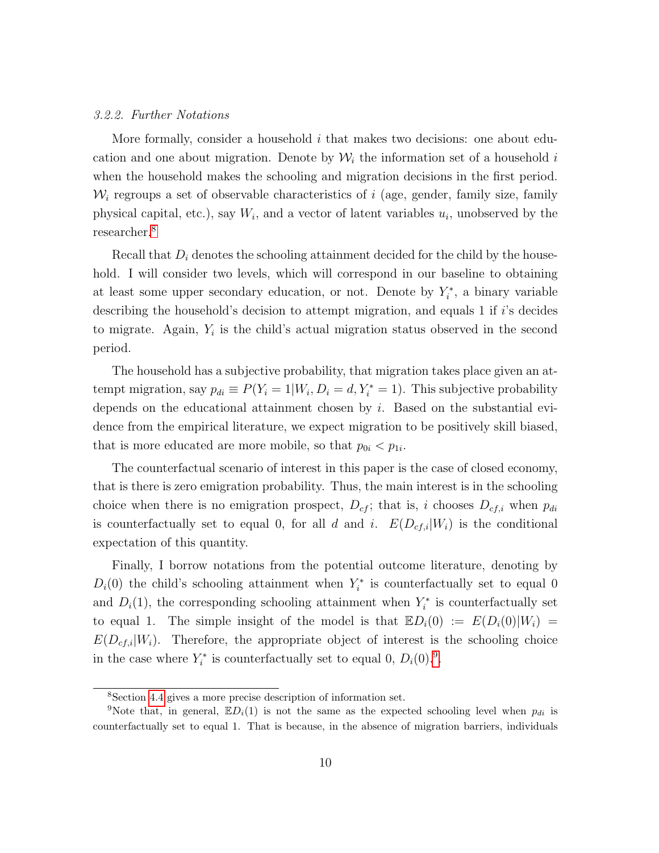#### 3.2.2. Further Notations

More formally, consider a household  $i$  that makes two decisions: one about education and one about migration. Denote by  $\mathcal{W}_i$  the information set of a household i when the household makes the schooling and migration decisions in the first period.  $\mathcal{W}_i$  regroups a set of observable characteristics of i (age, gender, family size, family physical capital, etc.), say  $W_i$ , and a vector of latent variables  $u_i$ , unobserved by the researcher.[8](#page-9-0)

Recall that  $D_i$  denotes the schooling attainment decided for the child by the household. I will consider two levels, which will correspond in our baseline to obtaining at least some upper secondary education, or not. Denote by  $Y_i^*$ , a binary variable describing the household's decision to attempt migration, and equals 1 if i's decides to migrate. Again,  $Y_i$  is the child's actual migration status observed in the second period.

The household has a subjective probability, that migration takes place given an attempt migration, say  $p_{di} \equiv P(Y_i = 1 | W_i, D_i = d, Y_i^* = 1)$ . This subjective probability depends on the educational attainment chosen by i. Based on the substantial evidence from the empirical literature, we expect migration to be positively skill biased, that is more educated are more mobile, so that  $p_{0i} < p_{1i}$ .

The counterfactual scenario of interest in this paper is the case of closed economy, that is there is zero emigration probability. Thus, the main interest is in the schooling choice when there is no emigration prospect,  $D_{cf}$ ; that is, i chooses  $D_{cf,i}$  when  $p_{di}$ is counterfactually set to equal 0, for all d and i.  $E(D_{cf,i}|W_i)$  is the conditional expectation of this quantity.

Finally, I borrow notations from the potential outcome literature, denoting by  $D_i(0)$  the child's schooling attainment when  $Y_i^*$  is counterfactually set to equal 0 and  $D_i(1)$ , the corresponding schooling attainment when  $Y_i^*$  is counterfactually set to equal 1. The simple insight of the model is that  $\mathbb{E}D_i(0) := E(D_i(0)|W_i) =$  $E(D_{cf,i}|W_i)$ . Therefore, the appropriate object of interest is the schooling choice in the case where  $Y_i^*$  is counterfactually set to equal 0,  $D_i(0).^9$  $D_i(0).^9$ .

<span id="page-9-1"></span><span id="page-9-0"></span><sup>8</sup>Section [4.4](#page-16-0) gives a more precise description of information set.

<sup>&</sup>lt;sup>9</sup>Note that, in general,  $\mathbb{E}D_i(1)$  is not the same as the expected schooling level when  $p_{di}$  is counterfactually set to equal 1. That is because, in the absence of migration barriers, individuals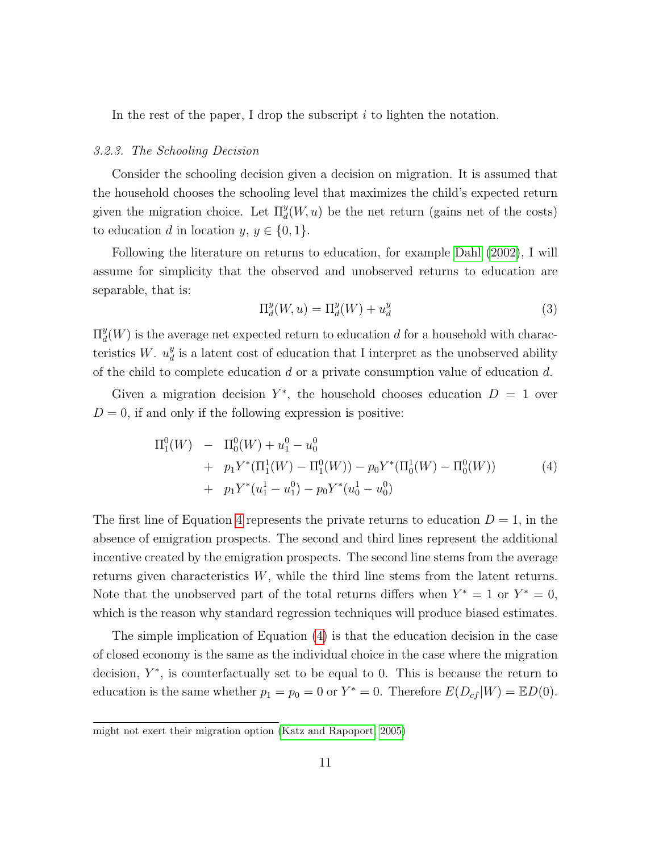In the rest of the paper, I drop the subscript  $i$  to lighten the notation.

### 3.2.3. The Schooling Decision

Consider the schooling decision given a decision on migration. It is assumed that the household chooses the schooling level that maximizes the child's expected return given the migration choice. Let  $\Pi_d^y(W, u)$  be the net return (gains net of the costs) to education d in location  $y, y \in \{0, 1\}.$ 

Following the literature on returns to education, for example [Dahl](#page-36-5) [\(2002\)](#page-36-5), I will assume for simplicity that the observed and unobserved returns to education are separable, that is:

$$
\Pi_d^y(W, u) = \Pi_d^y(W) + u_d^y \tag{3}
$$

 $\Pi_d^y$  $\frac{y}{d}(W)$  is the average net expected return to education d for a household with characteristics W.  $u_d^y$  $\frac{y}{d}$  is a latent cost of education that I interpret as the unobserved ability of the child to complete education  $d$  or a private consumption value of education  $d$ .

Given a migration decision  $Y^*$ , the household chooses education  $D = 1$  over  $D = 0$ , if and only if the following expression is positive:

<span id="page-10-0"></span>
$$
\Pi_1^0(W) - \Pi_0^0(W) + u_1^0 - u_0^0
$$
  
+  $p_1 Y^* (\Pi_1^1(W) - \Pi_1^0(W)) - p_0 Y^* (\Pi_0^1(W) - \Pi_0^0(W))$   
+  $p_1 Y^* (u_1^1 - u_1^0) - p_0 Y^* (u_0^1 - u_0^0)$  (4)

The first line of Equation [4](#page-10-0) represents the private returns to education  $D = 1$ , in the absence of emigration prospects. The second and third lines represent the additional incentive created by the emigration prospects. The second line stems from the average returns given characteristics  $W$ , while the third line stems from the latent returns. Note that the unobserved part of the total returns differs when  $Y^* = 1$  or  $Y^* = 0$ , which is the reason why standard regression techniques will produce biased estimates.

The simple implication of Equation [\(4\)](#page-10-0) is that the education decision in the case of closed economy is the same as the individual choice in the case where the migration decision,  $Y^*$ , is counterfactually set to be equal to 0. This is because the return to education is the same whether  $p_1 = p_0 = 0$  or  $Y^* = 0$ . Therefore  $E(D_{cf}|W) = \mathbb{E}D(0)$ .

might not exert their migration option [\(Katz and Rapoport, 2005\)](#page-37-4)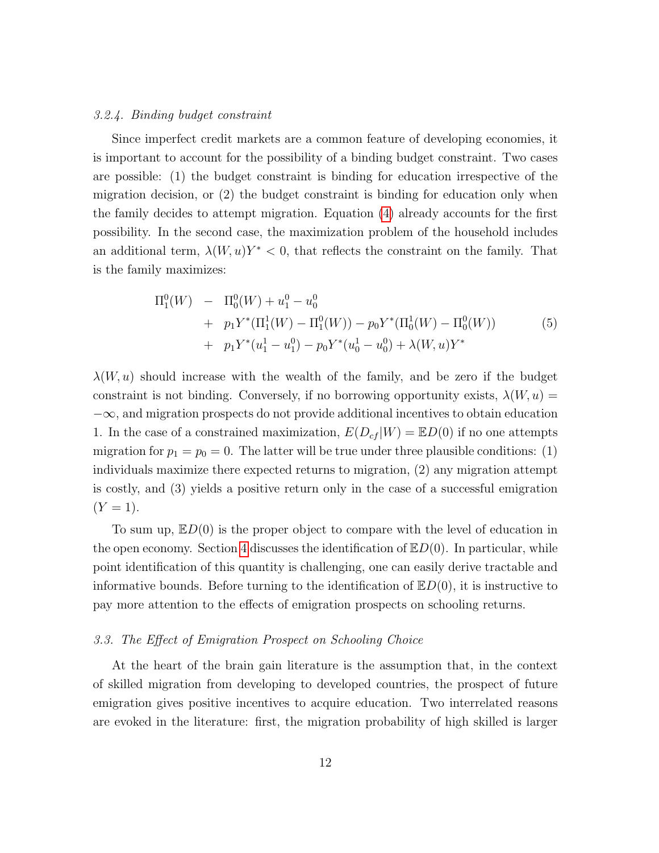#### 3.2.4. Binding budget constraint

Since imperfect credit markets are a common feature of developing economies, it is important to account for the possibility of a binding budget constraint. Two cases are possible: (1) the budget constraint is binding for education irrespective of the migration decision, or (2) the budget constraint is binding for education only when the family decides to attempt migration. Equation [\(4\)](#page-10-0) already accounts for the first possibility. In the second case, the maximization problem of the household includes an additional term,  $\lambda(W, u)Y^* < 0$ , that reflects the constraint on the family. That is the family maximizes:

$$
\Pi_1^0(W) - \Pi_0^0(W) + u_1^0 - u_0^0
$$
  
+  $p_1 Y^* (\Pi_1^1(W) - \Pi_1^0(W)) - p_0 Y^* (\Pi_0^1(W) - \Pi_0^0(W))$   
+  $p_1 Y^* (u_1^1 - u_1^0) - p_0 Y^* (u_0^1 - u_0^0) + \lambda (W, u) Y^*$  (5)

 $\lambda(W, u)$  should increase with the wealth of the family, and be zero if the budget constraint is not binding. Conversely, if no borrowing opportunity exists,  $\lambda(W, u) =$  $-\infty$ , and migration prospects do not provide additional incentives to obtain education 1. In the case of a constrained maximization,  $E(D_{cf} | W) = \mathbb{E}D(0)$  if no one attempts migration for  $p_1 = p_0 = 0$ . The latter will be true under three plausible conditions: (1) individuals maximize there expected returns to migration, (2) any migration attempt is costly, and (3) yields a positive return only in the case of a successful emigration  $(Y = 1)$ .

To sum up,  $ED(0)$  is the proper object to compare with the level of education in the open economy. Section [4](#page-13-0) discusses the identification of  $E_D(0)$ . In particular, while point identification of this quantity is challenging, one can easily derive tractable and informative bounds. Before turning to the identification of  $E_D(0)$ , it is instructive to pay more attention to the effects of emigration prospects on schooling returns.

#### <span id="page-11-0"></span>3.3. The Effect of Emigration Prospect on Schooling Choice

At the heart of the brain gain literature is the assumption that, in the context of skilled migration from developing to developed countries, the prospect of future emigration gives positive incentives to acquire education. Two interrelated reasons are evoked in the literature: first, the migration probability of high skilled is larger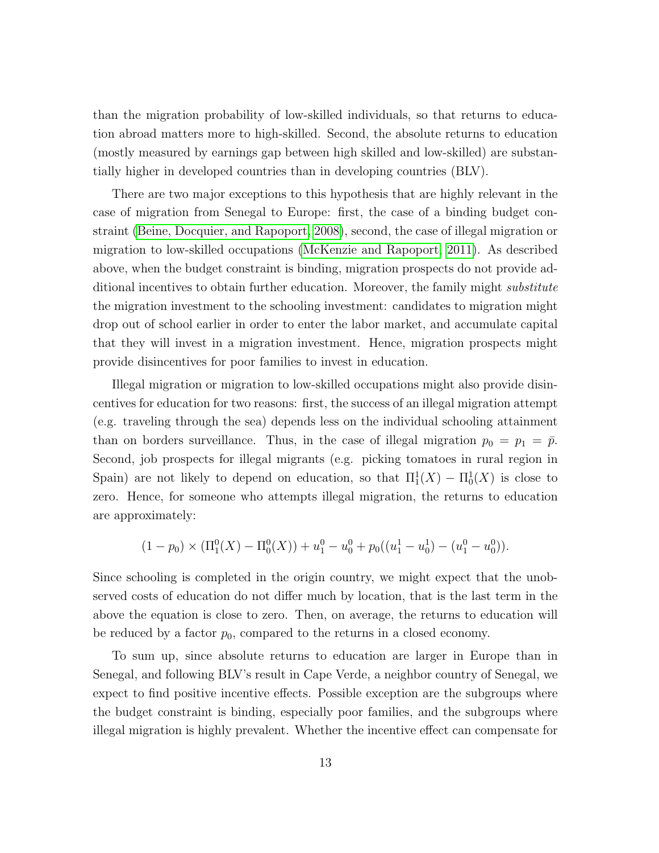than the migration probability of low-skilled individuals, so that returns to education abroad matters more to high-skilled. Second, the absolute returns to education (mostly measured by earnings gap between high skilled and low-skilled) are substantially higher in developed countries than in developing countries (BLV).

There are two major exceptions to this hypothesis that are highly relevant in the case of migration from Senegal to Europe: first, the case of a binding budget constraint [\(Beine, Docquier, and Rapoport, 2008\)](#page-35-1), second, the case of illegal migration or migration to low-skilled occupations [\(McKenzie and Rapoport, 2011\)](#page-37-2). As described above, when the budget constraint is binding, migration prospects do not provide additional incentives to obtain further education. Moreover, the family might *substitute* the migration investment to the schooling investment: candidates to migration might drop out of school earlier in order to enter the labor market, and accumulate capital that they will invest in a migration investment. Hence, migration prospects might provide disincentives for poor families to invest in education.

Illegal migration or migration to low-skilled occupations might also provide disincentives for education for two reasons: first, the success of an illegal migration attempt (e.g. traveling through the sea) depends less on the individual schooling attainment than on borders surveillance. Thus, in the case of illegal migration  $p_0 = p_1 = \bar{p}$ . Second, job prospects for illegal migrants (e.g. picking tomatoes in rural region in Spain) are not likely to depend on education, so that  $\Pi_1^1(X) - \Pi_0^1(X)$  is close to zero. Hence, for someone who attempts illegal migration, the returns to education are approximately:

$$
(1-p_0) \times (\Pi_1^0(X) - \Pi_0^0(X)) + u_1^0 - u_0^0 + p_0((u_1^1 - u_0^1) - (u_1^0 - u_0^0)).
$$

Since schooling is completed in the origin country, we might expect that the unobserved costs of education do not differ much by location, that is the last term in the above the equation is close to zero. Then, on average, the returns to education will be reduced by a factor  $p_0$ , compared to the returns in a closed economy.

To sum up, since absolute returns to education are larger in Europe than in Senegal, and following BLV's result in Cape Verde, a neighbor country of Senegal, we expect to find positive incentive effects. Possible exception are the subgroups where the budget constraint is binding, especially poor families, and the subgroups where illegal migration is highly prevalent. Whether the incentive effect can compensate for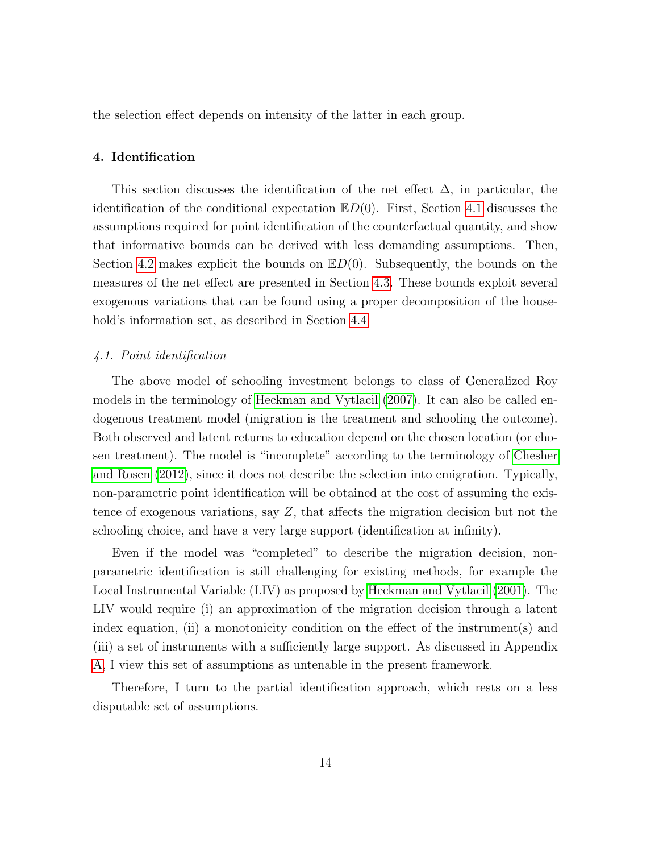the selection effect depends on intensity of the latter in each group.

## <span id="page-13-0"></span>4. Identification

This section discusses the identification of the net effect  $\Delta$ , in particular, the identification of the conditional expectation  $\mathbb{E}D(0)$ . First, Section [4.1](#page-13-1) discusses the assumptions required for point identification of the counterfactual quantity, and show that informative bounds can be derived with less demanding assumptions. Then, Section [4.2](#page-14-0) makes explicit the bounds on  $E(D(0))$ . Subsequently, the bounds on the measures of the net effect are presented in Section [4.3.](#page-15-0) These bounds exploit several exogenous variations that can be found using a proper decomposition of the household's information set, as described in Section [4.4.](#page-16-0)

# <span id="page-13-1"></span>4.1. Point identification

The above model of schooling investment belongs to class of Generalized Roy models in the terminology of [Heckman and Vytlacil](#page-37-5) [\(2007\)](#page-37-5). It can also be called endogenous treatment model (migration is the treatment and schooling the outcome). Both observed and latent returns to education depend on the chosen location (or chosen treatment). The model is "incomplete" according to the terminology of [Chesher](#page-36-6) [and Rosen](#page-36-6) [\(2012\)](#page-36-6), since it does not describe the selection into emigration. Typically, non-parametric point identification will be obtained at the cost of assuming the existence of exogenous variations, say Z, that affects the migration decision but not the schooling choice, and have a very large support (identification at infinity).

Even if the model was "completed" to describe the migration decision, nonparametric identification is still challenging for existing methods, for example the Local Instrumental Variable (LIV) as proposed by [Heckman and Vytlacil](#page-37-3) [\(2001\)](#page-37-3). The LIV would require (i) an approximation of the migration decision through a latent index equation, (ii) a monotonicity condition on the effect of the instrument(s) and (iii) a set of instruments with a sufficiently large support. As discussed in Appendix [A,](#page-49-0) I view this set of assumptions as untenable in the present framework.

Therefore, I turn to the partial identification approach, which rests on a less disputable set of assumptions.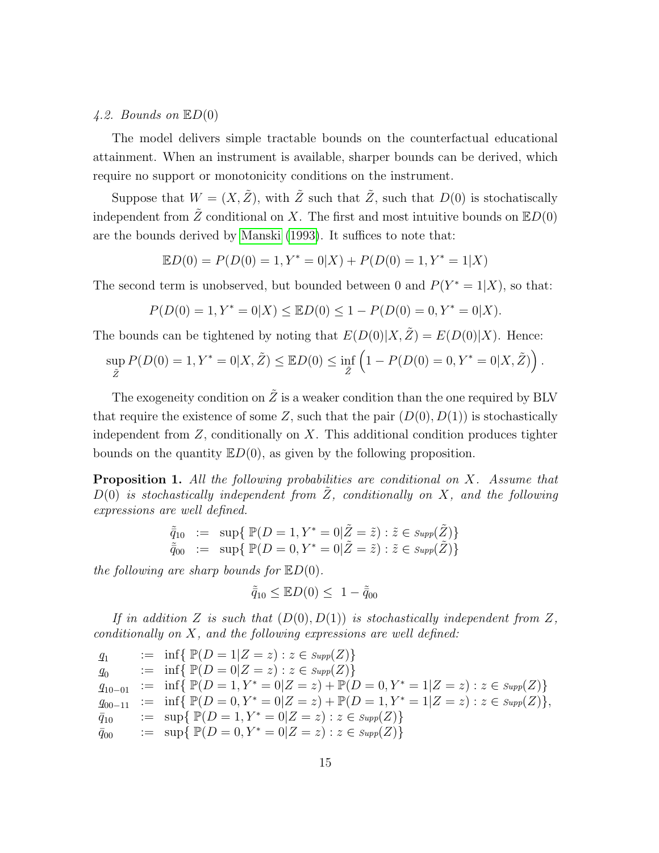### <span id="page-14-0"></span>4.2. Bounds on  $\mathbb{E}D(0)$

The model delivers simple tractable bounds on the counterfactual educational attainment. When an instrument is available, sharper bounds can be derived, which require no support or monotonicity conditions on the instrument.

Suppose that  $W = (X, \tilde{Z})$ , with  $\tilde{Z}$  such that  $\tilde{Z}$ , such that  $D(0)$  is stochatiscally independent from  $\tilde{Z}$  conditional on X. The first and most intuitive bounds on  $\mathbb{E}D(0)$ are the bounds derived by [Manski](#page-37-6) [\(1993\)](#page-37-6). It suffices to note that:

 $\mathbb{E}D(0) = P(D(0) = 1, Y^* = 0|X) + P(D(0) = 1, Y^* = 1|X)$ 

The second term is unobserved, but bounded between 0 and  $P(Y^* = 1|X)$ , so that:

$$
P(D(0) = 1, Y^* = 0|X) \leq \mathbb{E}D(0) \leq 1 - P(D(0) = 0, Y^* = 0|X).
$$

The bounds can be tightened by noting that  $E(D(0)|X, \tilde{Z}) = E(D(0)|X)$ . Hence:

$$
\sup_{\tilde{Z}} P(D(0) = 1, Y^* = 0 | X, \tilde{Z}) \leq \mathbb{E} D(0) \leq \inf_{\tilde{Z}} \left( 1 - P(D(0) = 0, Y^* = 0 | X, \tilde{Z}) \right).
$$

The exogeneity condition on  $\tilde{Z}$  is a weaker condition than the one required by BLV that require the existence of some Z, such that the pair  $(D(0), D(1))$  is stochastically independent from  $Z$ , conditionally on  $X$ . This additional condition produces tighter bounds on the quantity  $ED(0)$ , as given by the following proposition.

<span id="page-14-1"></span>**Proposition 1.** All the following probabilities are conditional on X. Assume that  $D(0)$  is stochastically independent from Z, conditionally on X, and the following expressions are well defined.

$$
\tilde{\bar{q}}_{10} := \sup \{ \mathbb{P}(D=1, Y^* = 0 | \tilde{Z} = \tilde{z}) : \tilde{z} \in \text{Supp}(\tilde{Z}) \}
$$
\n
$$
\tilde{\bar{q}}_{00} := \sup \{ \mathbb{P}(D=0, Y^* = 0 | \tilde{Z} = \tilde{z}) : \tilde{z} \in \text{Supp}(\tilde{Z}) \}
$$

the following are sharp bounds for  $E_D(0)$ .

$$
\tilde{\bar{q}}_{10} \leq \mathbb{E} D(0) \leq 1 - \tilde{\bar{q}}_{00}
$$

If in addition Z is such that  $(D(0), D(1))$  is stochastically independent from Z, conditionally on  $X$ , and the following expressions are well defined:

$$
q_1 := \inf \{ \mathbb{P}(D = 1 | Z = z) : z \in \text{Supp}(Z) \}
$$
  
\n
$$
q_0 := \inf \{ \mathbb{P}(D = 0 | Z = z) : z \in \text{Supp}(Z) \}
$$
  
\n
$$
q_{10-01} := \inf \{ \mathbb{P}(D = 1, Y^* = 0 | Z = z) + \mathbb{P}(D = 0, Y^* = 1 | Z = z) : z \in \text{Supp}(Z) \}
$$
  
\n
$$
q_{00-11} := \inf \{ \mathbb{P}(D = 0, Y^* = 0 | Z = z) + \mathbb{P}(D = 1, Y^* = 1 | Z = z) : z \in \text{Supp}(Z) \},
$$
  
\n
$$
\overline{q}_{10} := \sup \{ \mathbb{P}(D = 1, Y^* = 0 | Z = z) : z \in \text{Supp}(Z) \}
$$
  
\n
$$
\overline{q}_{00} := \sup \{ \mathbb{P}(D = 0, Y^* = 0 | Z = z) : z \in \text{Supp}(Z) \}
$$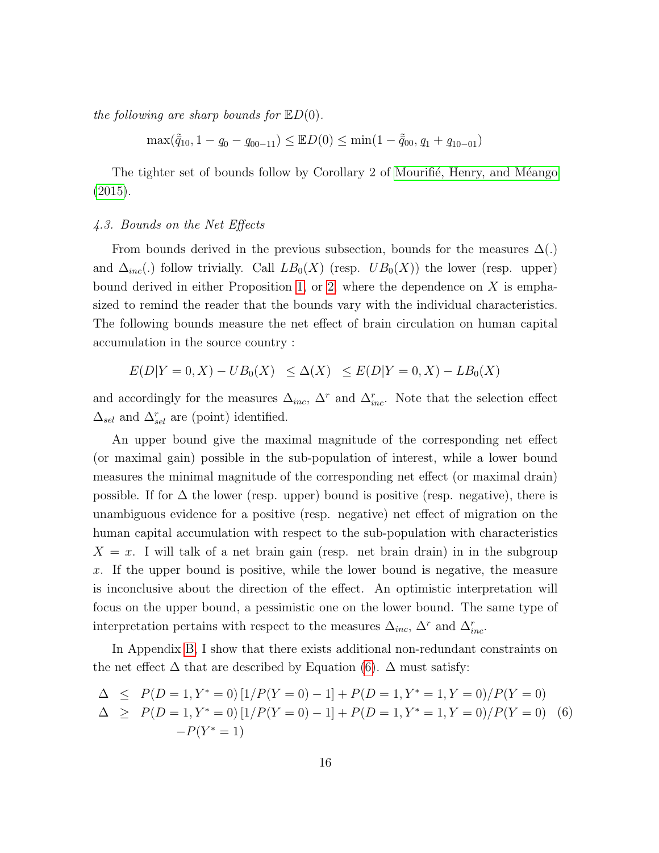the following are sharp bounds for  $\mathbb{E}D(0)$ .

 $\max(\tilde{q}_{10}, 1 - q_0 - q_{00-11}) \leq \mathbb{E}D(0) \leq \min(1 - \tilde{q}_{00}, q_1 + q_{10-01})$ 

The tighter set of bounds follow by Corollary 2 of Mourifié, Henry, and Méango [\(2015\)](#page-37-7).

### <span id="page-15-0"></span>4.3. Bounds on the Net Effects

From bounds derived in the previous subsection, bounds for the measures  $\Delta(.)$ and  $\Delta_{inc}(.)$  follow trivially. Call  $LB_0(X)$  (resp.  $UB_0(X)$ ) the lower (resp. upper) bound derived in either Proposition [1,](#page-14-1) or [2,](#page-53-0) where the dependence on  $X$  is emphasized to remind the reader that the bounds vary with the individual characteristics. The following bounds measure the net effect of brain circulation on human capital accumulation in the source country :

$$
E(D|Y=0, X) - UB_0(X) \le \Delta(X) \le E(D|Y=0, X) - LB_0(X)
$$

and accordingly for the measures  $\Delta_{inc}$ ,  $\Delta^r$  and  $\Delta_{inc}^r$ . Note that the selection effect  $\Delta_{sel}$  and  $\Delta_{sel}^r$  are (point) identified.

An upper bound give the maximal magnitude of the corresponding net effect (or maximal gain) possible in the sub-population of interest, while a lower bound measures the minimal magnitude of the corresponding net effect (or maximal drain) possible. If for  $\Delta$  the lower (resp. upper) bound is positive (resp. negative), there is unambiguous evidence for a positive (resp. negative) net effect of migration on the human capital accumulation with respect to the sub-population with characteristics  $X = x$ . I will talk of a net brain gain (resp. net brain drain) in in the subgroup x. If the upper bound is positive, while the lower bound is negative, the measure is inconclusive about the direction of the effect. An optimistic interpretation will focus on the upper bound, a pessimistic one on the lower bound. The same type of interpretation pertains with respect to the measures  $\Delta_{inc}$ ,  $\Delta^r$  and  $\Delta_{inc}^r$ .

In Appendix [B,](#page-50-0) I show that there exists additional non-redundant constraints on the net effect  $\Delta$  that are described by Equation [\(6\)](#page-15-1).  $\Delta$  must satisfy:

<span id="page-15-1"></span>
$$
\Delta \le P(D=1, Y^* = 0) [1/P(Y=0) - 1] + P(D=1, Y^* = 1, Y = 0) / P(Y=0)
$$
  
\n
$$
\Delta \ge P(D=1, Y^* = 0) [1/P(Y=0) - 1] + P(D=1, Y^* = 1, Y = 0) / P(Y=0)
$$
 (6)  
\n
$$
-P(Y^* = 1)
$$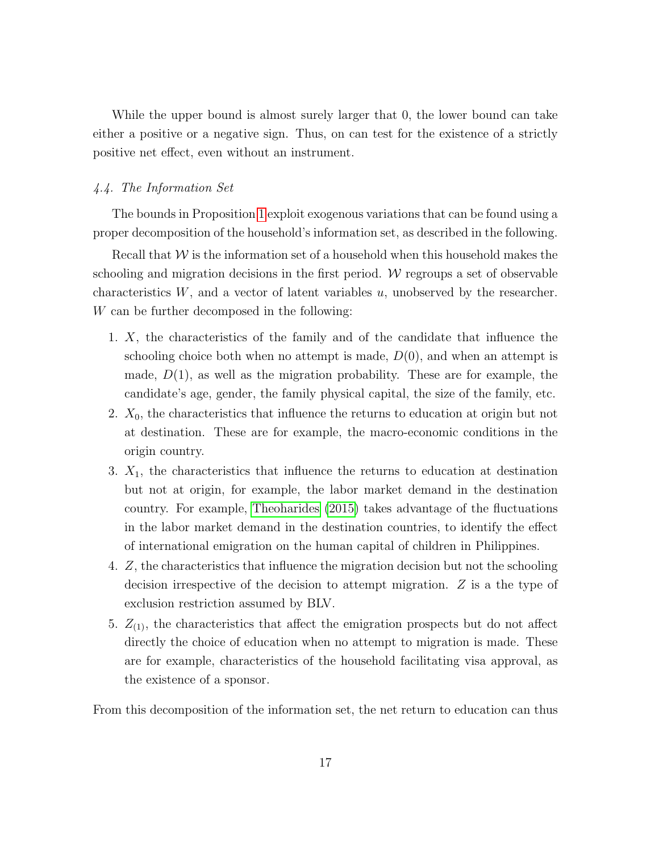While the upper bound is almost surely larger that 0, the lower bound can take either a positive or a negative sign. Thus, on can test for the existence of a strictly positive net effect, even without an instrument.

## <span id="page-16-0"></span>4.4. The Information Set

The bounds in Proposition [1](#page-14-1) exploit exogenous variations that can be found using a proper decomposition of the household's information set, as described in the following.

Recall that  $W$  is the information set of a household when this household makes the schooling and migration decisions in the first period.  $W$  regroups a set of observable characteristics  $W$ , and a vector of latent variables  $u$ , unobserved by the researcher. W can be further decomposed in the following:

- 1. X, the characteristics of the family and of the candidate that influence the schooling choice both when no attempt is made,  $D(0)$ , and when an attempt is made,  $D(1)$ , as well as the migration probability. These are for example, the candidate's age, gender, the family physical capital, the size of the family, etc.
- 2.  $X_0$ , the characteristics that influence the returns to education at origin but not at destination. These are for example, the macro-economic conditions in the origin country.
- 3.  $X_1$ , the characteristics that influence the returns to education at destination but not at origin, for example, the labor market demand in the destination country. For example, [Theoharides](#page-38-2) [\(2015\)](#page-38-2) takes advantage of the fluctuations in the labor market demand in the destination countries, to identify the effect of international emigration on the human capital of children in Philippines.
- 4. Z, the characteristics that influence the migration decision but not the schooling decision irrespective of the decision to attempt migration. Z is a the type of exclusion restriction assumed by BLV.
- 5.  $Z_{(1)}$ , the characteristics that affect the emigration prospects but do not affect directly the choice of education when no attempt to migration is made. These are for example, characteristics of the household facilitating visa approval, as the existence of a sponsor.

From this decomposition of the information set, the net return to education can thus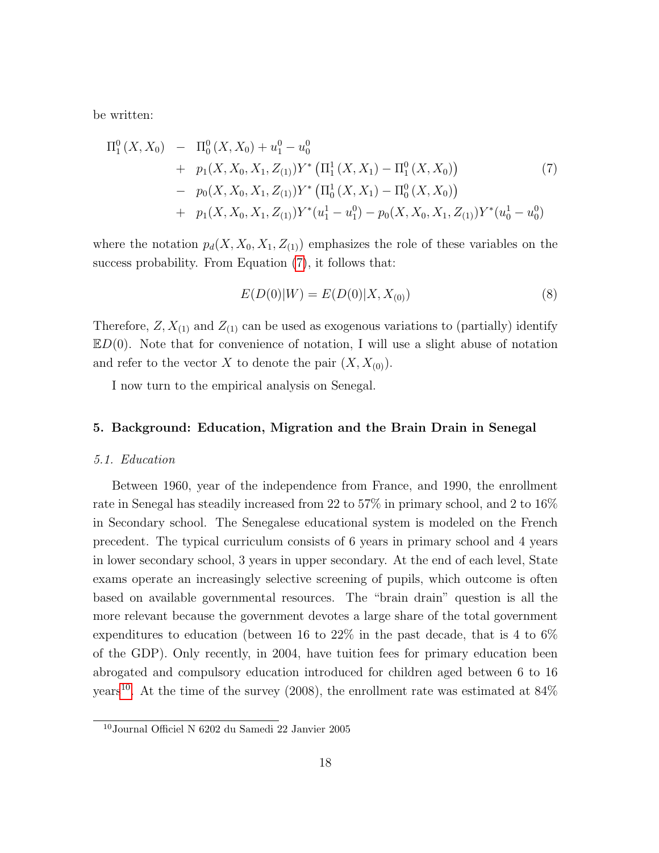be written:

<span id="page-17-1"></span>
$$
\Pi_1^0(X, X_0) - \Pi_0^0(X, X_0) + u_1^0 - u_0^0
$$
  
+  $p_1(X, X_0, X_1, Z_{(1)}) Y^* (\Pi_1^1(X, X_1) - \Pi_1^0(X, X_0))$  (7)  
-  $p_0(X, X_0, X_1, Z_{(1)}) Y^* (\Pi_0^1(X, X_1) - \Pi_0^0(X, X_0))$   
+  $p_1(X, X_0, X_1, Z_{(1)}) Y^*(u_1^1 - u_1^0) - p_0(X, X_0, X_1, Z_{(1)}) Y^*(u_0^1 - u_0^0)$ 

where the notation  $p_d(X, X_0, X_1, Z_{(1)})$  emphasizes the role of these variables on the success probability. From Equation [\(7\)](#page-17-1), it follows that:

$$
E(D(0)|W) = E(D(0)|X, X_{(0)})
$$
\n(8)

Therefore,  $Z, X_{(1)}$  and  $Z_{(1)}$  can be used as exogenous variations to (partially) identify  $ED(0)$ . Note that for convenience of notation, I will use a slight abuse of notation and refer to the vector X to denote the pair  $(X, X_{(0)})$ .

I now turn to the empirical analysis on Senegal.

#### <span id="page-17-0"></span>5. Background: Education, Migration and the Brain Drain in Senegal

#### 5.1. Education

Between 1960, year of the independence from France, and 1990, the enrollment rate in Senegal has steadily increased from 22 to 57% in primary school, and 2 to 16% in Secondary school. The Senegalese educational system is modeled on the French precedent. The typical curriculum consists of 6 years in primary school and 4 years in lower secondary school, 3 years in upper secondary. At the end of each level, State exams operate an increasingly selective screening of pupils, which outcome is often based on available governmental resources. The "brain drain" question is all the more relevant because the government devotes a large share of the total government expenditures to education (between 16 to 22% in the past decade, that is 4 to 6% of the GDP). Only recently, in 2004, have tuition fees for primary education been abrogated and compulsory education introduced for children aged between 6 to 16 years<sup>[10](#page-17-2)</sup>. At the time of the survey (2008), the enrollment rate was estimated at  $84\%$ 

<span id="page-17-2"></span><sup>10</sup>Journal Officiel N 6202 du Samedi 22 Janvier 2005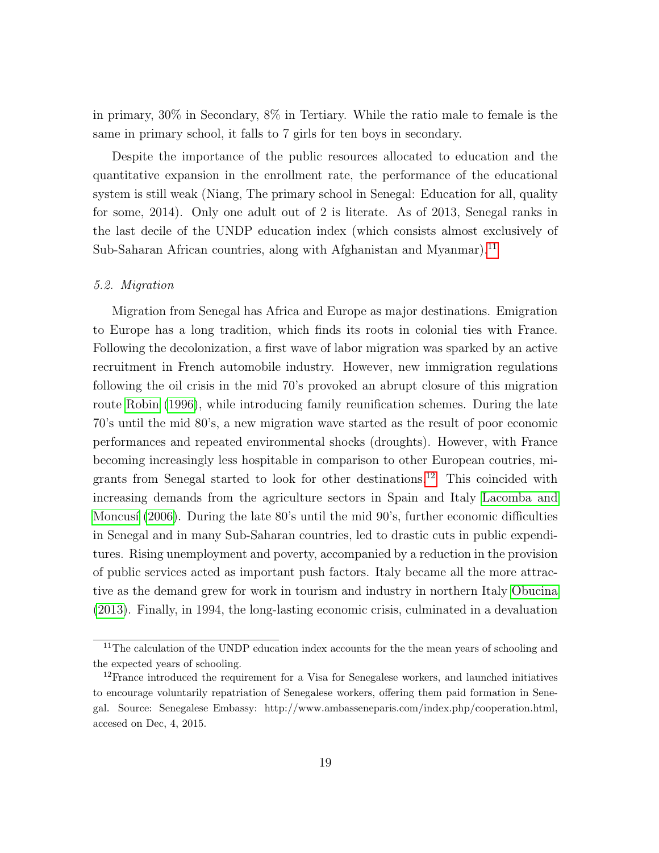in primary, 30% in Secondary, 8% in Tertiary. While the ratio male to female is the same in primary school, it falls to 7 girls for ten boys in secondary.

Despite the importance of the public resources allocated to education and the quantitative expansion in the enrollment rate, the performance of the educational system is still weak (Niang, The primary school in Senegal: Education for all, quality for some, 2014). Only one adult out of 2 is literate. As of 2013, Senegal ranks in the last decile of the UNDP education index (which consists almost exclusively of Sub-Saharan African countries, along with Afghanistan and Myanmar).<sup>[11](#page-18-0)</sup>

### 5.2. Migration

Migration from Senegal has Africa and Europe as major destinations. Emigration to Europe has a long tradition, which finds its roots in colonial ties with France. Following the decolonization, a first wave of labor migration was sparked by an active recruitment in French automobile industry. However, new immigration regulations following the oil crisis in the mid 70's provoked an abrupt closure of this migration route [Robin](#page-38-6) [\(1996\)](#page-38-6), while introducing family reunification schemes. During the late 70's until the mid 80's, a new migration wave started as the result of poor economic performances and repeated environmental shocks (droughts). However, with France becoming increasingly less hospitable in comparison to other European coutries, migrants from Senegal started to look for other destinations.[12](#page-18-1) This coincided with increasing demands from the agriculture sectors in Spain and Italy [Lacomba and](#page-37-8) Moncusí [\(2006\)](#page-37-8). During the late 80's until the mid 90's, further economic difficulties in Senegal and in many Sub-Saharan countries, led to drastic cuts in public expenditures. Rising unemployment and poverty, accompanied by a reduction in the provision of public services acted as important push factors. Italy became all the more attractive as the demand grew for work in tourism and industry in northern Italy [Obucina](#page-38-7) [\(2013\)](#page-38-7). Finally, in 1994, the long-lasting economic crisis, culminated in a devaluation

<span id="page-18-0"></span> $11$ The calculation of the UNDP education index accounts for the the mean years of schooling and the expected years of schooling.

<span id="page-18-1"></span> $12$ France introduced the requirement for a Visa for Senegalese workers, and launched initiatives to encourage voluntarily repatriation of Senegalese workers, offering them paid formation in Senegal. Source: Senegalese Embassy: http://www.ambasseneparis.com/index.php/cooperation.html, accesed on Dec, 4, 2015.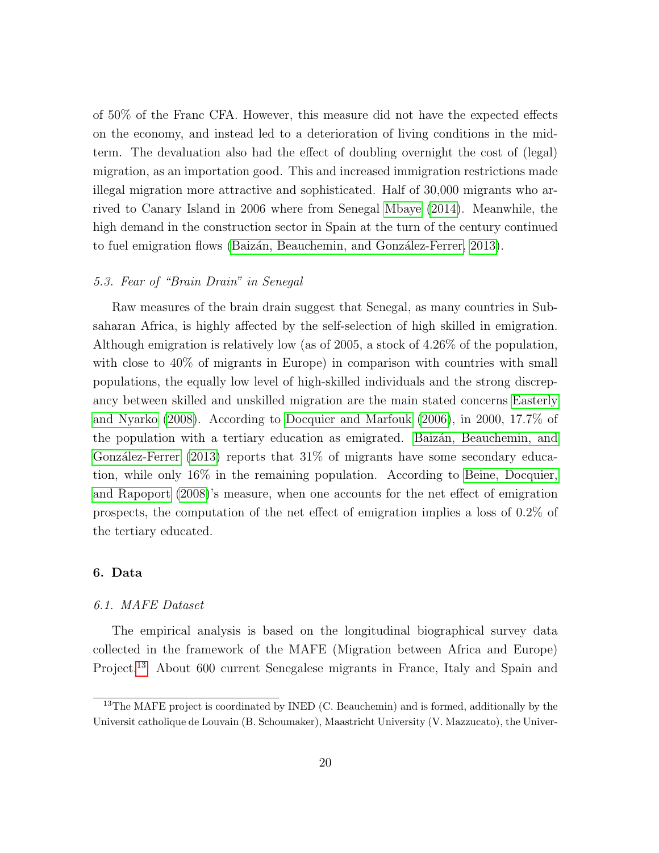of 50% of the Franc CFA. However, this measure did not have the expected effects on the economy, and instead led to a deterioration of living conditions in the midterm. The devaluation also had the effect of doubling overnight the cost of (legal) migration, as an importation good. This and increased immigration restrictions made illegal migration more attractive and sophisticated. Half of 30,000 migrants who arrived to Canary Island in 2006 where from Senegal [Mbaye](#page-37-9) [\(2014\)](#page-37-9). Meanwhile, the high demand in the construction sector in Spain at the turn of the century continued to fuel emigration flows (Baizán, Beauchemin, and González-Ferrer, 2013).

## 5.3. Fear of "Brain Drain" in Senegal

Raw measures of the brain drain suggest that Senegal, as many countries in Subsaharan Africa, is highly affected by the self-selection of high skilled in emigration. Although emigration is relatively low (as of 2005, a stock of 4.26% of the population, with close to  $40\%$  of migrants in Europe) in comparison with countries with small populations, the equally low level of high-skilled individuals and the strong discrepancy between skilled and unskilled migration are the main stated concerns [Easterly](#page-36-7) [and Nyarko](#page-36-7) [\(2008\)](#page-36-7). According to [Docquier and Marfouk](#page-36-8) [\(2006\)](#page-36-8), in 2000, 17.7% of the population with a tertiary education as emigrated. Baizán, Beauchemin, and González-Ferrer [\(2013\)](#page-35-5) reports that  $31\%$  of migrants have some secondary education, while only 16% in the remaining population. According to [Beine, Docquier,](#page-35-1) [and Rapoport](#page-35-1) [\(2008\)](#page-35-1)'s measure, when one accounts for the net effect of emigration prospects, the computation of the net effect of emigration implies a loss of 0.2% of the tertiary educated.

#### <span id="page-19-0"></span>6. Data

# 6.1. MAFE Dataset

The empirical analysis is based on the longitudinal biographical survey data collected in the framework of the MAFE (Migration between Africa and Europe) Project.[13](#page-19-1) About 600 current Senegalese migrants in France, Italy and Spain and

<span id="page-19-1"></span><sup>&</sup>lt;sup>13</sup>The MAFE project is coordinated by INED (C. Beauchemin) and is formed, additionally by the Universit catholique de Louvain (B. Schoumaker), Maastricht University (V. Mazzucato), the Univer-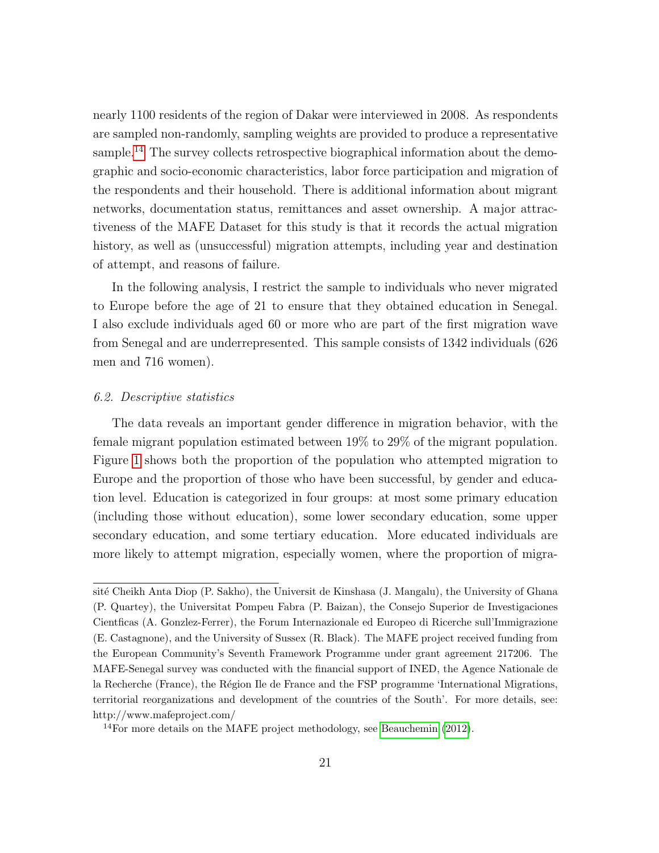nearly 1100 residents of the region of Dakar were interviewed in 2008. As respondents are sampled non-randomly, sampling weights are provided to produce a representative sample.<sup>[14](#page-20-0)</sup> The survey collects retrospective biographical information about the demographic and socio-economic characteristics, labor force participation and migration of the respondents and their household. There is additional information about migrant networks, documentation status, remittances and asset ownership. A major attractiveness of the MAFE Dataset for this study is that it records the actual migration history, as well as (unsuccessful) migration attempts, including year and destination of attempt, and reasons of failure.

In the following analysis, I restrict the sample to individuals who never migrated to Europe before the age of 21 to ensure that they obtained education in Senegal. I also exclude individuals aged 60 or more who are part of the first migration wave from Senegal and are underrepresented. This sample consists of 1342 individuals (626 men and 716 women).

### 6.2. Descriptive statistics

The data reveals an important gender difference in migration behavior, with the female migrant population estimated between 19% to 29% of the migrant population. Figure [1](#page-39-0) shows both the proportion of the population who attempted migration to Europe and the proportion of those who have been successful, by gender and education level. Education is categorized in four groups: at most some primary education (including those without education), some lower secondary education, some upper secondary education, and some tertiary education. More educated individuals are more likely to attempt migration, especially women, where the proportion of migra-

sité Cheikh Anta Diop (P. Sakho), the Universit de Kinshasa (J. Mangalu), the University of Ghana (P. Quartey), the Universitat Pompeu Fabra (P. Baizan), the Consejo Superior de Investigaciones Cientficas (A. Gonzlez-Ferrer), the Forum Internazionale ed Europeo di Ricerche sull'Immigrazione (E. Castagnone), and the University of Sussex (R. Black). The MAFE project received funding from the European Community's Seventh Framework Programme under grant agreement 217206. The MAFE-Senegal survey was conducted with the financial support of INED, the Agence Nationale de la Recherche (France), the Région Ile de France and the FSP programme 'International Migrations, territorial reorganizations and development of the countries of the South'. For more details, see: http://www.mafeproject.com/

<span id="page-20-0"></span> $14$ For more details on the MAFE project methodology, see [Beauchemin](#page-35-6) [\(2012\)](#page-35-6).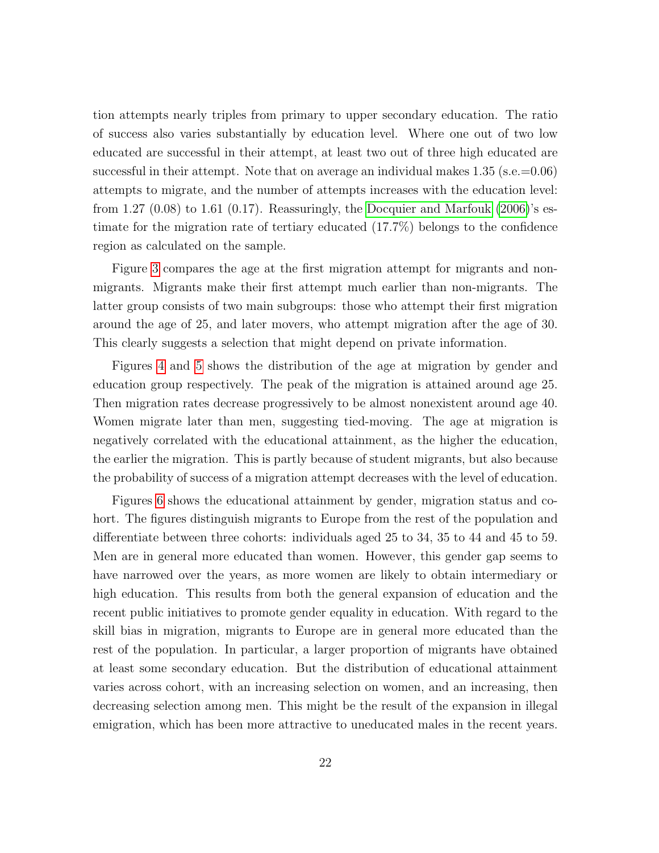tion attempts nearly triples from primary to upper secondary education. The ratio of success also varies substantially by education level. Where one out of two low educated are successful in their attempt, at least two out of three high educated are successful in their attempt. Note that on average an individual makes  $1.35$  (s.e.=0.06) attempts to migrate, and the number of attempts increases with the education level: from 1.27 (0.08) to 1.61 (0.17). Reassuringly, the [Docquier and Marfouk](#page-36-8) [\(2006\)](#page-36-8)'s estimate for the migration rate of tertiary educated (17.7%) belongs to the confidence region as calculated on the sample.

Figure [3](#page-40-0) compares the age at the first migration attempt for migrants and nonmigrants. Migrants make their first attempt much earlier than non-migrants. The latter group consists of two main subgroups: those who attempt their first migration around the age of 25, and later movers, who attempt migration after the age of 30. This clearly suggests a selection that might depend on private information.

Figures [4](#page-41-0) and [5](#page-41-1) shows the distribution of the age at migration by gender and education group respectively. The peak of the migration is attained around age 25. Then migration rates decrease progressively to be almost nonexistent around age 40. Women migrate later than men, suggesting tied-moving. The age at migration is negatively correlated with the educational attainment, as the higher the education, the earlier the migration. This is partly because of student migrants, but also because the probability of success of a migration attempt decreases with the level of education.

Figures [6](#page-42-0) shows the educational attainment by gender, migration status and cohort. The figures distinguish migrants to Europe from the rest of the population and differentiate between three cohorts: individuals aged 25 to 34, 35 to 44 and 45 to 59. Men are in general more educated than women. However, this gender gap seems to have narrowed over the years, as more women are likely to obtain intermediary or high education. This results from both the general expansion of education and the recent public initiatives to promote gender equality in education. With regard to the skill bias in migration, migrants to Europe are in general more educated than the rest of the population. In particular, a larger proportion of migrants have obtained at least some secondary education. But the distribution of educational attainment varies across cohort, with an increasing selection on women, and an increasing, then decreasing selection among men. This might be the result of the expansion in illegal emigration, which has been more attractive to uneducated males in the recent years.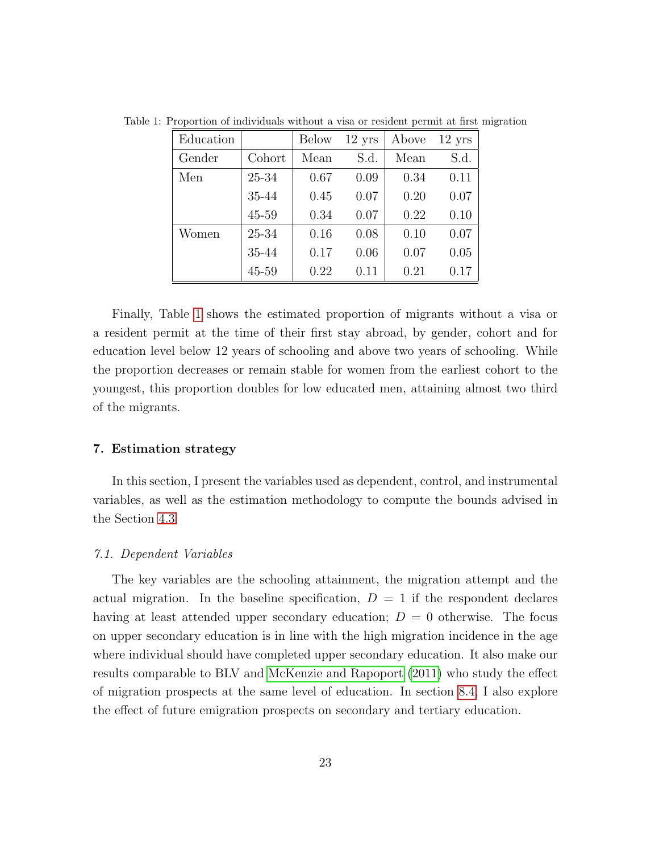<span id="page-22-0"></span>

| Education |        | <b>Below</b> | $12 \text{ yrs}$ | Above | $12$ yrs |
|-----------|--------|--------------|------------------|-------|----------|
| Gender    | Cohort | Mean         | S.d.             | Mean  | S.d.     |
| Men       | 25-34  | 0.67         | 0.09             | 0.34  | 0.11     |
|           | 35-44  | 0.45         | 0.07             | 0.20  | 0.07     |
|           | 45-59  | 0.34         | 0.07             | 0.22  | 0.10     |
| Women     | 25-34  | 0.16         | 0.08             | 0.10  | 0.07     |
|           | 35-44  | 0.17         | 0.06             | 0.07  | 0.05     |
|           | 45-59  | 0.22         | 0.11             | 0.21  | 0.17     |

Table 1: Proportion of individuals without a visa or resident permit at first migration

Finally, Table [1](#page-22-0) shows the estimated proportion of migrants without a visa or a resident permit at the time of their first stay abroad, by gender, cohort and for education level below 12 years of schooling and above two years of schooling. While the proportion decreases or remain stable for women from the earliest cohort to the youngest, this proportion doubles for low educated men, attaining almost two third of the migrants.

# 7. Estimation strategy

In this section, I present the variables used as dependent, control, and instrumental variables, as well as the estimation methodology to compute the bounds advised in the Section [4.3.](#page-15-0)

# 7.1. Dependent Variables

The key variables are the schooling attainment, the migration attempt and the actual migration. In the baseline specification,  $D = 1$  if the respondent declares having at least attended upper secondary education;  $D = 0$  otherwise. The focus on upper secondary education is in line with the high migration incidence in the age where individual should have completed upper secondary education. It also make our results comparable to BLV and [McKenzie and Rapoport](#page-37-2) [\(2011\)](#page-37-2) who study the effect of migration prospects at the same level of education. In section [8.4,](#page-29-0) I also explore the effect of future emigration prospects on secondary and tertiary education.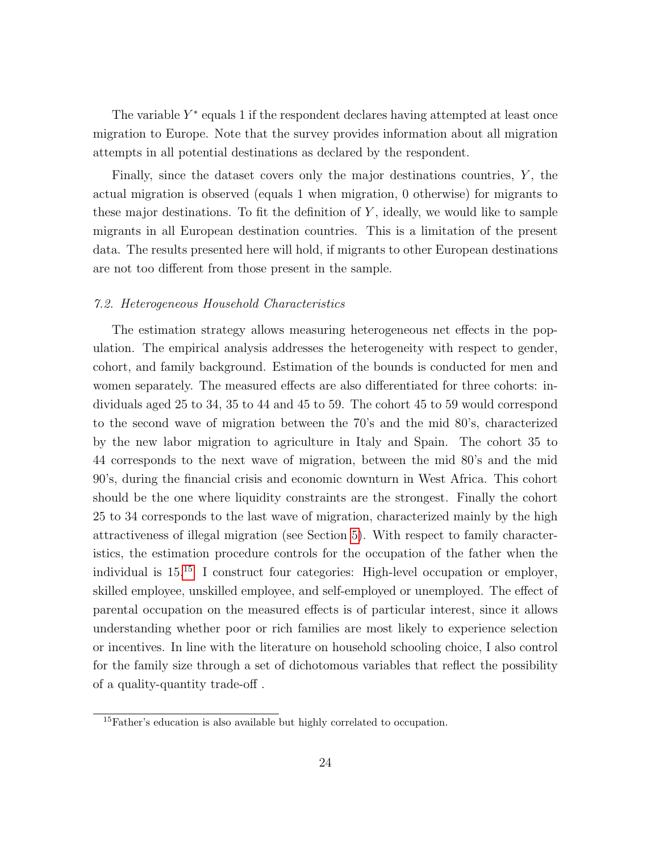The variable  $Y^*$  equals 1 if the respondent declares having attempted at least once migration to Europe. Note that the survey provides information about all migration attempts in all potential destinations as declared by the respondent.

Finally, since the dataset covers only the major destinations countries,  $Y$ , the actual migration is observed (equals 1 when migration, 0 otherwise) for migrants to these major destinations. To fit the definition of  $Y$ , ideally, we would like to sample migrants in all European destination countries. This is a limitation of the present data. The results presented here will hold, if migrants to other European destinations are not too different from those present in the sample.

### <span id="page-23-1"></span>7.2. Heterogeneous Household Characteristics

The estimation strategy allows measuring heterogeneous net effects in the population. The empirical analysis addresses the heterogeneity with respect to gender, cohort, and family background. Estimation of the bounds is conducted for men and women separately. The measured effects are also differentiated for three cohorts: individuals aged 25 to 34, 35 to 44 and 45 to 59. The cohort 45 to 59 would correspond to the second wave of migration between the 70's and the mid 80's, characterized by the new labor migration to agriculture in Italy and Spain. The cohort 35 to 44 corresponds to the next wave of migration, between the mid 80's and the mid 90's, during the financial crisis and economic downturn in West Africa. This cohort should be the one where liquidity constraints are the strongest. Finally the cohort 25 to 34 corresponds to the last wave of migration, characterized mainly by the high attractiveness of illegal migration (see Section [5\)](#page-17-0). With respect to family characteristics, the estimation procedure controls for the occupation of the father when the individual is 15.[15](#page-23-0) I construct four categories: High-level occupation or employer, skilled employee, unskilled employee, and self-employed or unemployed. The effect of parental occupation on the measured effects is of particular interest, since it allows understanding whether poor or rich families are most likely to experience selection or incentives. In line with the literature on household schooling choice, I also control for the family size through a set of dichotomous variables that reflect the possibility of a quality-quantity trade-off .

<span id="page-23-0"></span><sup>&</sup>lt;sup>15</sup>Father's education is also available but highly correlated to occupation.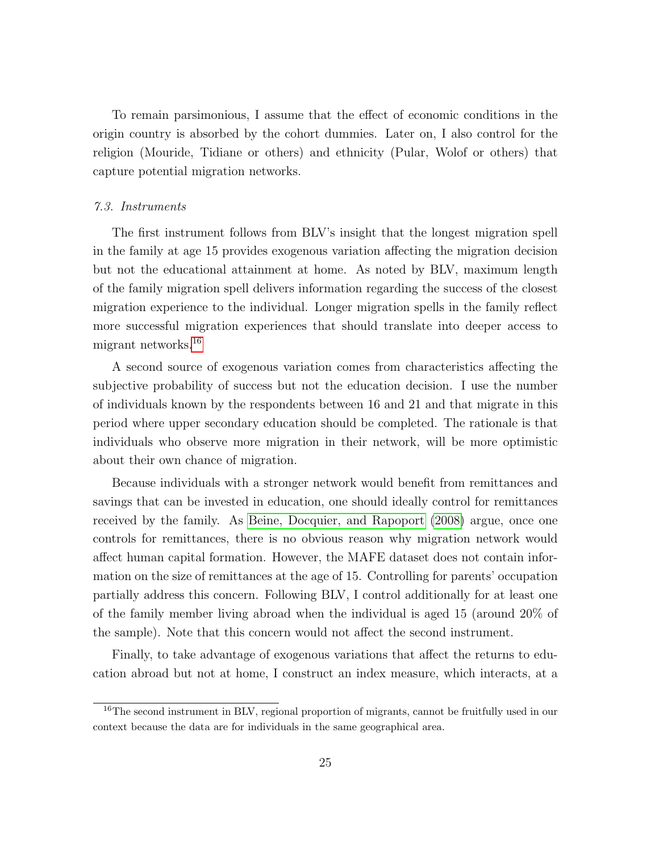To remain parsimonious, I assume that the effect of economic conditions in the origin country is absorbed by the cohort dummies. Later on, I also control for the religion (Mouride, Tidiane or others) and ethnicity (Pular, Wolof or others) that capture potential migration networks.

### <span id="page-24-1"></span>7.3. Instruments

The first instrument follows from BLV's insight that the longest migration spell in the family at age 15 provides exogenous variation affecting the migration decision but not the educational attainment at home. As noted by BLV, maximum length of the family migration spell delivers information regarding the success of the closest migration experience to the individual. Longer migration spells in the family reflect more successful migration experiences that should translate into deeper access to migrant networks.[16](#page-24-0)

A second source of exogenous variation comes from characteristics affecting the subjective probability of success but not the education decision. I use the number of individuals known by the respondents between 16 and 21 and that migrate in this period where upper secondary education should be completed. The rationale is that individuals who observe more migration in their network, will be more optimistic about their own chance of migration.

Because individuals with a stronger network would benefit from remittances and savings that can be invested in education, one should ideally control for remittances received by the family. As [Beine, Docquier, and Rapoport](#page-35-1) [\(2008\)](#page-35-1) argue, once one controls for remittances, there is no obvious reason why migration network would affect human capital formation. However, the MAFE dataset does not contain information on the size of remittances at the age of 15. Controlling for parents' occupation partially address this concern. Following BLV, I control additionally for at least one of the family member living abroad when the individual is aged 15 (around 20% of the sample). Note that this concern would not affect the second instrument.

Finally, to take advantage of exogenous variations that affect the returns to education abroad but not at home, I construct an index measure, which interacts, at a

<span id="page-24-0"></span><sup>&</sup>lt;sup>16</sup>The second instrument in BLV, regional proportion of migrants, cannot be fruitfully used in our context because the data are for individuals in the same geographical area.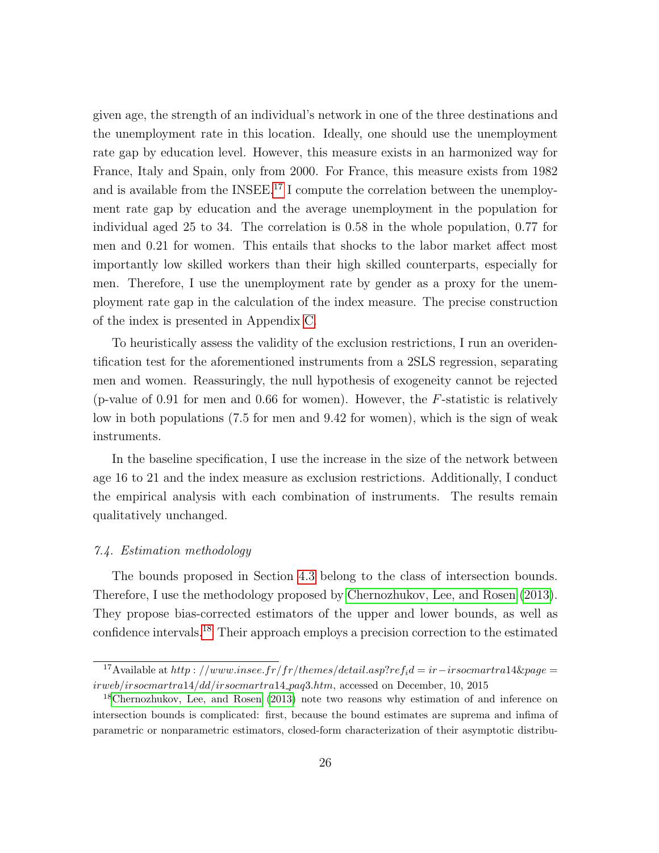given age, the strength of an individual's network in one of the three destinations and the unemployment rate in this location. Ideally, one should use the unemployment rate gap by education level. However, this measure exists in an harmonized way for France, Italy and Spain, only from 2000. For France, this measure exists from 1982 and is available from the INSEE.<sup>[17](#page-25-0)</sup> I compute the correlation between the unemployment rate gap by education and the average unemployment in the population for individual aged 25 to 34. The correlation is 0.58 in the whole population, 0.77 for men and 0.21 for women. This entails that shocks to the labor market affect most importantly low skilled workers than their high skilled counterparts, especially for men. Therefore, I use the unemployment rate by gender as a proxy for the unemployment rate gap in the calculation of the index measure. The precise construction of the index is presented in Appendix [C.](#page-50-1)

To heuristically assess the validity of the exclusion restrictions, I run an overidentification test for the aforementioned instruments from a 2SLS regression, separating men and women. Reassuringly, the null hypothesis of exogeneity cannot be rejected (p-value of 0.91 for men and 0.66 for women). However, the F-statistic is relatively low in both populations (7.5 for men and 9.42 for women), which is the sign of weak instruments.

In the baseline specification, I use the increase in the size of the network between age 16 to 21 and the index measure as exclusion restrictions. Additionally, I conduct the empirical analysis with each combination of instruments. The results remain qualitatively unchanged.

# 7.4. Estimation methodology

The bounds proposed in Section [4.3](#page-15-0) belong to the class of intersection bounds. Therefore, I use the methodology proposed by [Chernozhukov, Lee, and Rosen](#page-36-9) [\(2013\)](#page-36-9). They propose bias-corrected estimators of the upper and lower bounds, as well as confidence intervals.[18](#page-25-1) Their approach employs a precision correction to the estimated

<span id="page-25-0"></span><sup>&</sup>lt;sup>17</sup>Available at http : //www.insee.fr/fr/themes/detail.asp?ref<sub>i</sub>d = ir-irsocmartra14&page = irweb/irsocmartra14/dd/irsocmartra14 paq3.htm, accessed on December, 10, 2015

<span id="page-25-1"></span><sup>18</sup>[Chernozhukov, Lee, and Rosen](#page-36-9) [\(2013\)](#page-36-9) note two reasons why estimation of and inference on intersection bounds is complicated: first, because the bound estimates are suprema and infima of parametric or nonparametric estimators, closed-form characterization of their asymptotic distribu-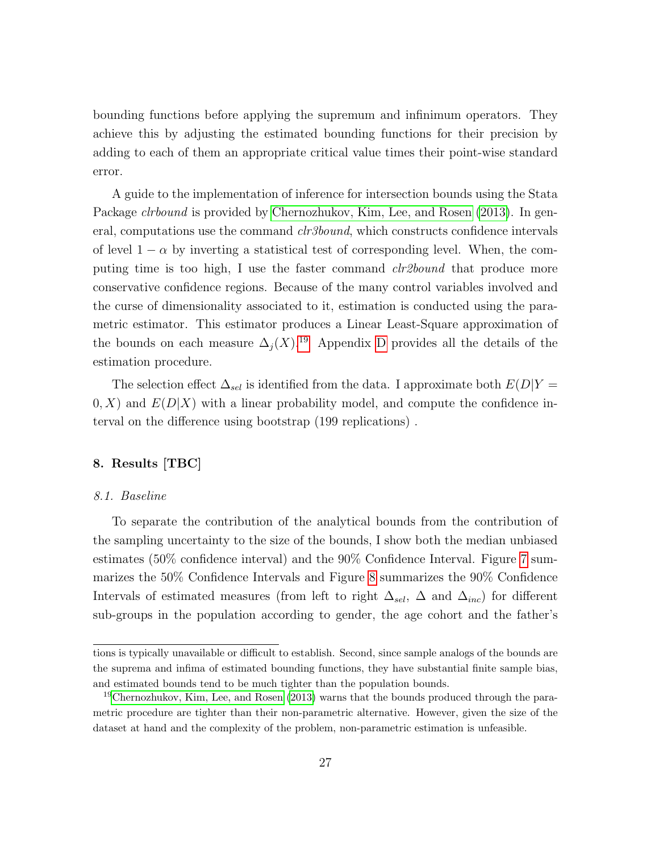bounding functions before applying the supremum and infinimum operators. They achieve this by adjusting the estimated bounding functions for their precision by adding to each of them an appropriate critical value times their point-wise standard error.

A guide to the implementation of inference for intersection bounds using the Stata Package *clrbound* is provided by [Chernozhukov, Kim, Lee, and Rosen](#page-36-10) [\(2013\)](#page-36-10). In general, computations use the command *clr3bound*, which constructs confidence intervals of level  $1 - \alpha$  by inverting a statistical test of corresponding level. When, the computing time is too high, I use the faster command *clr2bound* that produce more conservative confidence regions. Because of the many control variables involved and the curse of dimensionality associated to it, estimation is conducted using the parametric estimator. This estimator produces a Linear Least-Square approximation of the bounds on each measure  $\Delta_j(X)$ .<sup>[19](#page-26-1)</sup> Appendix [D](#page-51-0) provides all the details of the estimation procedure.

The selection effect  $\Delta_{sel}$  is identified from the data. I approximate both  $E(D|Y =$  $(0, X)$  and  $E(D|X)$  with a linear probability model, and compute the confidence interval on the difference using bootstrap (199 replications) .

# <span id="page-26-0"></span>8. Results [TBC]

### 8.1. Baseline

To separate the contribution of the analytical bounds from the contribution of the sampling uncertainty to the size of the bounds, I show both the median unbiased estimates (50% confidence interval) and the 90% Confidence Interval. Figure [7](#page-43-0) summarizes the 50% Confidence Intervals and Figure [8](#page-44-0) summarizes the 90% Confidence Intervals of estimated measures (from left to right  $\Delta_{sel}$ ,  $\Delta$  and  $\Delta_{inc}$ ) for different sub-groups in the population according to gender, the age cohort and the father's

tions is typically unavailable or difficult to establish. Second, since sample analogs of the bounds are the suprema and infima of estimated bounding functions, they have substantial finite sample bias, and estimated bounds tend to be much tighter than the population bounds.

<span id="page-26-1"></span><sup>19</sup>[Chernozhukov, Kim, Lee, and Rosen](#page-36-10) [\(2013\)](#page-36-10) warns that the bounds produced through the parametric procedure are tighter than their non-parametric alternative. However, given the size of the dataset at hand and the complexity of the problem, non-parametric estimation is unfeasible.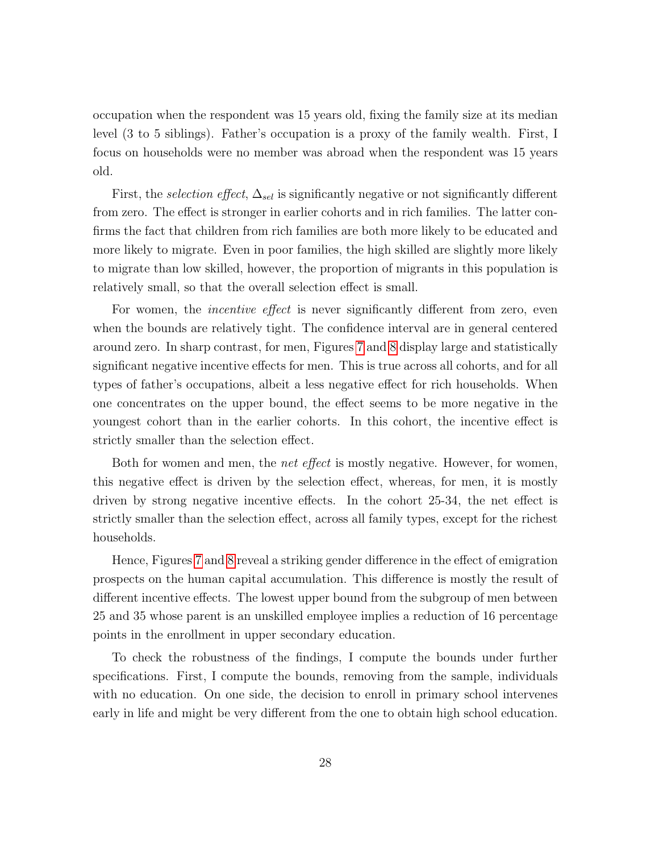occupation when the respondent was 15 years old, fixing the family size at its median level (3 to 5 siblings). Father's occupation is a proxy of the family wealth. First, I focus on households were no member was abroad when the respondent was 15 years old.

First, the *selection effect*,  $\Delta_{sel}$  is significantly negative or not significantly different from zero. The effect is stronger in earlier cohorts and in rich families. The latter confirms the fact that children from rich families are both more likely to be educated and more likely to migrate. Even in poor families, the high skilled are slightly more likely to migrate than low skilled, however, the proportion of migrants in this population is relatively small, so that the overall selection effect is small.

For women, the *incentive effect* is never significantly different from zero, even when the bounds are relatively tight. The confidence interval are in general centered around zero. In sharp contrast, for men, Figures [7](#page-43-0) and [8](#page-44-0) display large and statistically significant negative incentive effects for men. This is true across all cohorts, and for all types of father's occupations, albeit a less negative effect for rich households. When one concentrates on the upper bound, the effect seems to be more negative in the youngest cohort than in the earlier cohorts. In this cohort, the incentive effect is strictly smaller than the selection effect.

Both for women and men, the *net effect* is mostly negative. However, for women, this negative effect is driven by the selection effect, whereas, for men, it is mostly driven by strong negative incentive effects. In the cohort 25-34, the net effect is strictly smaller than the selection effect, across all family types, except for the richest households.

Hence, Figures [7](#page-43-0) and [8](#page-44-0) reveal a striking gender difference in the effect of emigration prospects on the human capital accumulation. This difference is mostly the result of different incentive effects. The lowest upper bound from the subgroup of men between 25 and 35 whose parent is an unskilled employee implies a reduction of 16 percentage points in the enrollment in upper secondary education.

To check the robustness of the findings, I compute the bounds under further specifications. First, I compute the bounds, removing from the sample, individuals with no education. On one side, the decision to enroll in primary school intervenes early in life and might be very different from the one to obtain high school education.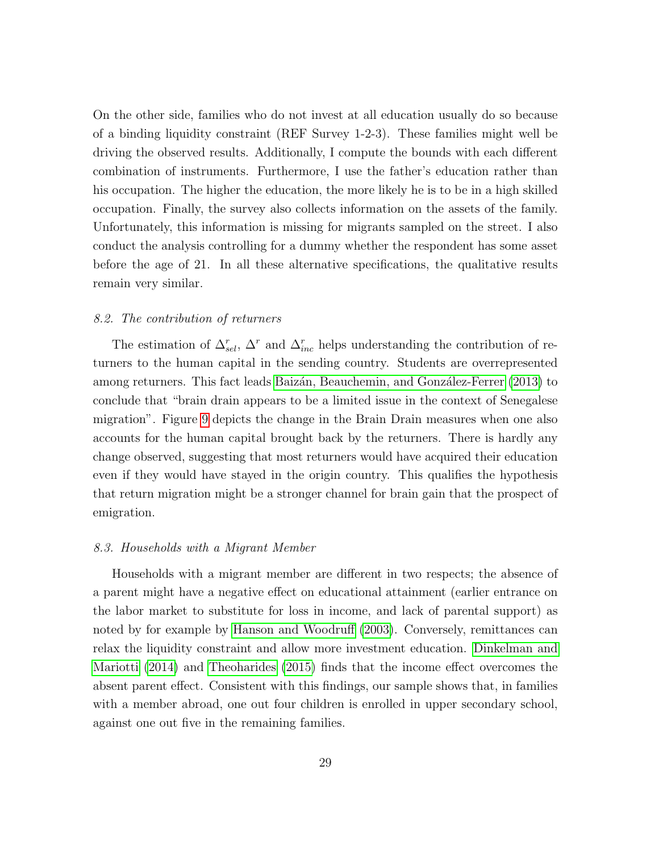On the other side, families who do not invest at all education usually do so because of a binding liquidity constraint (REF Survey 1-2-3). These families might well be driving the observed results. Additionally, I compute the bounds with each different combination of instruments. Furthermore, I use the father's education rather than his occupation. The higher the education, the more likely he is to be in a high skilled occupation. Finally, the survey also collects information on the assets of the family. Unfortunately, this information is missing for migrants sampled on the street. I also conduct the analysis controlling for a dummy whether the respondent has some asset before the age of 21. In all these alternative specifications, the qualitative results remain very similar.

### <span id="page-28-0"></span>8.2. The contribution of returners

The estimation of  $\Delta_{sel}^r$ ,  $\Delta^r$  and  $\Delta_{inc}^r$  helps understanding the contribution of returners to the human capital in the sending country. Students are overrepresented among returners. This fact leads Baizán, Beauchemin, and González-Ferrer [\(2013\)](#page-35-5) to conclude that "brain drain appears to be a limited issue in the context of Senegalese migration". Figure [9](#page-45-0) depicts the change in the Brain Drain measures when one also accounts for the human capital brought back by the returners. There is hardly any change observed, suggesting that most returners would have acquired their education even if they would have stayed in the origin country. This qualifies the hypothesis that return migration might be a stronger channel for brain gain that the prospect of emigration.

#### 8.3. Households with a Migrant Member

Households with a migrant member are different in two respects; the absence of a parent might have a negative effect on educational attainment (earlier entrance on the labor market to substitute for loss in income, and lack of parental support) as noted by for example by [Hanson and Woodruff](#page-37-10) [\(2003\)](#page-37-10). Conversely, remittances can relax the liquidity constraint and allow more investment education. [Dinkelman and](#page-36-4) [Mariotti](#page-36-4) [\(2014\)](#page-36-4) and [Theoharides](#page-38-2) [\(2015\)](#page-38-2) finds that the income effect overcomes the absent parent effect. Consistent with this findings, our sample shows that, in families with a member abroad, one out four children is enrolled in upper secondary school, against one out five in the remaining families.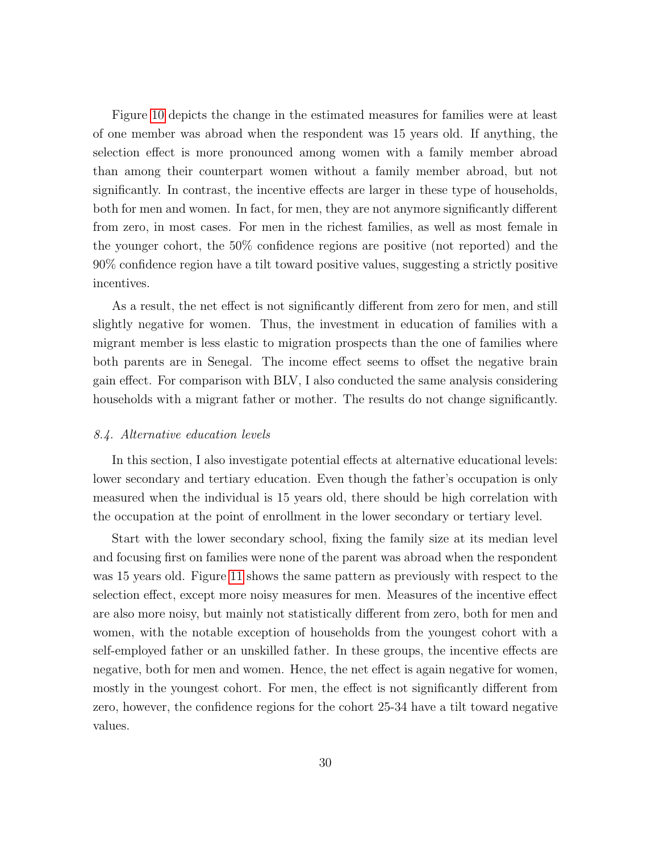Figure [10](#page-46-0) depicts the change in the estimated measures for families were at least of one member was abroad when the respondent was 15 years old. If anything, the selection effect is more pronounced among women with a family member abroad than among their counterpart women without a family member abroad, but not significantly. In contrast, the incentive effects are larger in these type of households, both for men and women. In fact, for men, they are not anymore significantly different from zero, in most cases. For men in the richest families, as well as most female in the younger cohort, the 50% confidence regions are positive (not reported) and the 90% confidence region have a tilt toward positive values, suggesting a strictly positive incentives.

As a result, the net effect is not significantly different from zero for men, and still slightly negative for women. Thus, the investment in education of families with a migrant member is less elastic to migration prospects than the one of families where both parents are in Senegal. The income effect seems to offset the negative brain gain effect. For comparison with BLV, I also conducted the same analysis considering households with a migrant father or mother. The results do not change significantly.

### <span id="page-29-0"></span>8.4. Alternative education levels

In this section, I also investigate potential effects at alternative educational levels: lower secondary and tertiary education. Even though the father's occupation is only measured when the individual is 15 years old, there should be high correlation with the occupation at the point of enrollment in the lower secondary or tertiary level.

Start with the lower secondary school, fixing the family size at its median level and focusing first on families were none of the parent was abroad when the respondent was 15 years old. Figure [11](#page-47-0) shows the same pattern as previously with respect to the selection effect, except more noisy measures for men. Measures of the incentive effect are also more noisy, but mainly not statistically different from zero, both for men and women, with the notable exception of households from the youngest cohort with a self-employed father or an unskilled father. In these groups, the incentive effects are negative, both for men and women. Hence, the net effect is again negative for women, mostly in the youngest cohort. For men, the effect is not significantly different from zero, however, the confidence regions for the cohort 25-34 have a tilt toward negative values.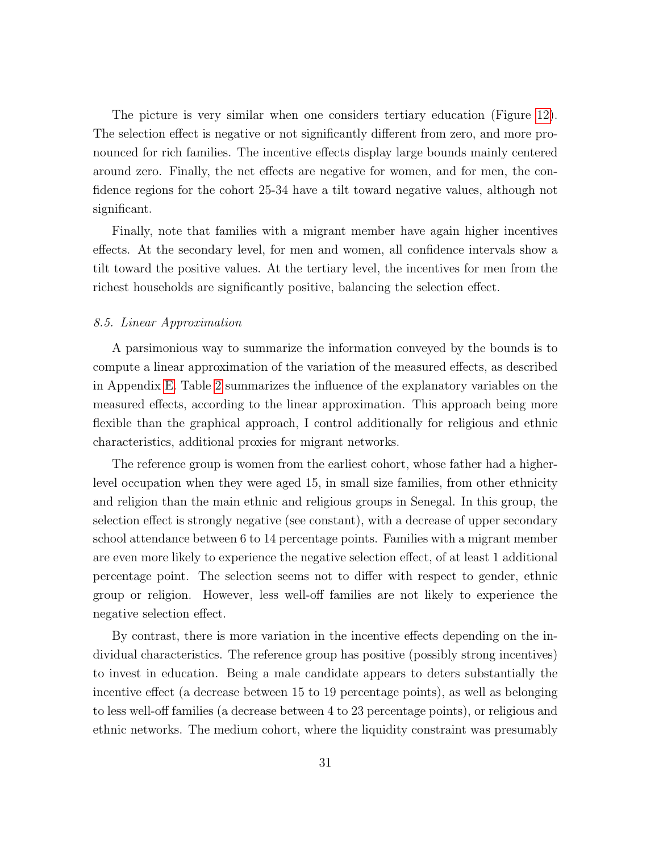The picture is very similar when one considers tertiary education (Figure [12\)](#page-48-0). The selection effect is negative or not significantly different from zero, and more pronounced for rich families. The incentive effects display large bounds mainly centered around zero. Finally, the net effects are negative for women, and for men, the confidence regions for the cohort 25-34 have a tilt toward negative values, although not significant.

Finally, note that families with a migrant member have again higher incentives effects. At the secondary level, for men and women, all confidence intervals show a tilt toward the positive values. At the tertiary level, the incentives for men from the richest households are significantly positive, balancing the selection effect.

#### 8.5. Linear Approximation

A parsimonious way to summarize the information conveyed by the bounds is to compute a linear approximation of the variation of the measured effects, as described in Appendix [E.](#page-52-0) Table [2](#page-31-0) summarizes the influence of the explanatory variables on the measured effects, according to the linear approximation. This approach being more flexible than the graphical approach, I control additionally for religious and ethnic characteristics, additional proxies for migrant networks.

The reference group is women from the earliest cohort, whose father had a higherlevel occupation when they were aged 15, in small size families, from other ethnicity and religion than the main ethnic and religious groups in Senegal. In this group, the selection effect is strongly negative (see constant), with a decrease of upper secondary school attendance between 6 to 14 percentage points. Families with a migrant member are even more likely to experience the negative selection effect, of at least 1 additional percentage point. The selection seems not to differ with respect to gender, ethnic group or religion. However, less well-off families are not likely to experience the negative selection effect.

By contrast, there is more variation in the incentive effects depending on the individual characteristics. The reference group has positive (possibly strong incentives) to invest in education. Being a male candidate appears to deters substantially the incentive effect (a decrease between 15 to 19 percentage points), as well as belonging to less well-off families (a decrease between 4 to 23 percentage points), or religious and ethnic networks. The medium cohort, where the liquidity constraint was presumably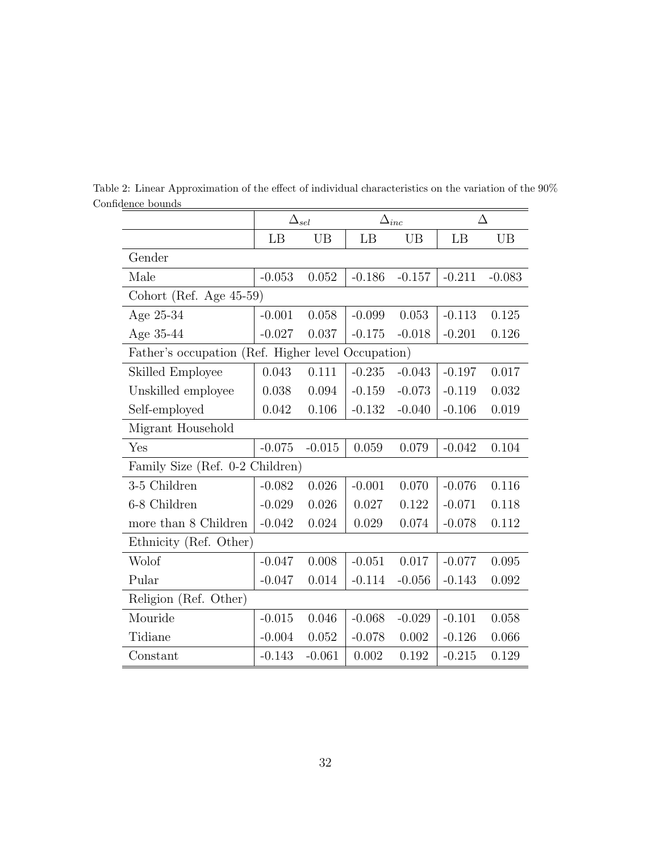<span id="page-31-0"></span>

|                                                    | $\Delta_{sel}$ |          | $\Delta_{inc}$ |          | Δ        |           |  |  |  |  |
|----------------------------------------------------|----------------|----------|----------------|----------|----------|-----------|--|--|--|--|
|                                                    | LB             | UB       | LB             | UB       | LB       | <b>UB</b> |  |  |  |  |
| Gender                                             |                |          |                |          |          |           |  |  |  |  |
| Male                                               | $-0.053$       | 0.052    | $-0.186$       | $-0.157$ | $-0.211$ | $-0.083$  |  |  |  |  |
| Cohort (Ref. Age 45-59)                            |                |          |                |          |          |           |  |  |  |  |
| Age 25-34                                          | $-0.001$       | 0.058    | $-0.099$       | 0.053    | $-0.113$ | 0.125     |  |  |  |  |
| Age 35-44                                          | $-0.027$       | 0.037    | $-0.175$       | $-0.018$ | $-0.201$ | 0.126     |  |  |  |  |
| Father's occupation (Ref. Higher level Occupation) |                |          |                |          |          |           |  |  |  |  |
| Skilled Employee                                   | 0.043          | 0.111    | $-0.235$       | $-0.043$ | $-0.197$ | 0.017     |  |  |  |  |
| Unskilled employee                                 | 0.038          | 0.094    | $-0.159$       | $-0.073$ | $-0.119$ | 0.032     |  |  |  |  |
| Self-employed                                      | 0.042          | 0.106    | $-0.132$       | $-0.040$ | $-0.106$ | 0.019     |  |  |  |  |
| Migrant Household                                  |                |          |                |          |          |           |  |  |  |  |
| Yes                                                | $-0.075$       | $-0.015$ | 0.059          | 0.079    | $-0.042$ | 0.104     |  |  |  |  |
| Family Size (Ref. 0-2 Children)                    |                |          |                |          |          |           |  |  |  |  |
| 3-5 Children                                       | $-0.082$       | 0.026    | $-0.001$       | 0.070    | $-0.076$ | 0.116     |  |  |  |  |
| 6-8 Children                                       | $-0.029$       | 0.026    | 0.027          | 0.122    | $-0.071$ | 0.118     |  |  |  |  |
| more than 8 Children                               | $-0.042$       | 0.024    | 0.029          | 0.074    | $-0.078$ | 0.112     |  |  |  |  |
| Ethnicity (Ref. Other)                             |                |          |                |          |          |           |  |  |  |  |
| Wolof                                              | $-0.047$       | 0.008    | $-0.051$       | 0.017    | $-0.077$ | 0.095     |  |  |  |  |
| Pular                                              | $-0.047$       | 0.014    | $-0.114$       | $-0.056$ | $-0.143$ | 0.092     |  |  |  |  |
| Religion (Ref. Other)                              |                |          |                |          |          |           |  |  |  |  |
| Mouride                                            | $-0.015$       | 0.046    | $-0.068$       | $-0.029$ | $-0.101$ | 0.058     |  |  |  |  |
| Tidiane                                            | $-0.004$       | 0.052    | $-0.078$       | 0.002    | $-0.126$ | 0.066     |  |  |  |  |
| Constant                                           | $-0.143$       | $-0.061$ | 0.002          | 0.192    | $-0.215$ | 0.129     |  |  |  |  |

Table 2: Linear Approximation of the effect of individual characteristics on the variation of the 90% Confidence bounds  $\equiv$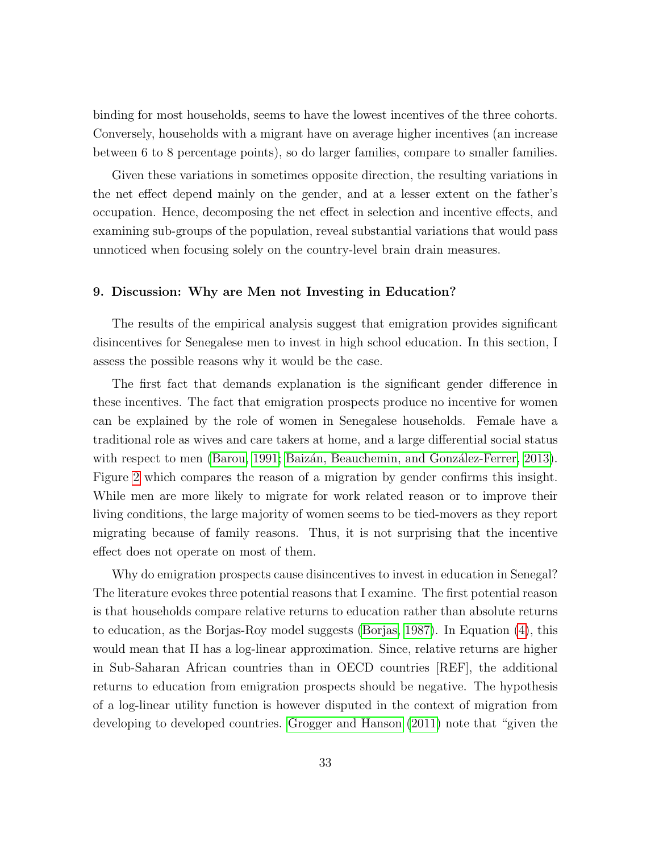binding for most households, seems to have the lowest incentives of the three cohorts. Conversely, households with a migrant have on average higher incentives (an increase between 6 to 8 percentage points), so do larger families, compare to smaller families.

Given these variations in sometimes opposite direction, the resulting variations in the net effect depend mainly on the gender, and at a lesser extent on the father's occupation. Hence, decomposing the net effect in selection and incentive effects, and examining sub-groups of the population, reveal substantial variations that would pass unnoticed when focusing solely on the country-level brain drain measures.

### <span id="page-32-0"></span>9. Discussion: Why are Men not Investing in Education?

The results of the empirical analysis suggest that emigration provides significant disincentives for Senegalese men to invest in high school education. In this section, I assess the possible reasons why it would be the case.

The first fact that demands explanation is the significant gender difference in these incentives. The fact that emigration prospects produce no incentive for women can be explained by the role of women in Senegalese households. Female have a traditional role as wives and care takers at home, and a large differential social status with respect to men [\(Barou, 1991;](#page-35-7) Baizán, Beauchemin, and González-Ferrer, 2013). Figure [2](#page-40-1) which compares the reason of a migration by gender confirms this insight. While men are more likely to migrate for work related reason or to improve their living conditions, the large majority of women seems to be tied-movers as they report migrating because of family reasons. Thus, it is not surprising that the incentive effect does not operate on most of them.

Why do emigration prospects cause disincentives to invest in education in Senegal? The literature evokes three potential reasons that I examine. The first potential reason is that households compare relative returns to education rather than absolute returns to education, as the Borjas-Roy model suggests [\(Borjas, 1987\)](#page-35-8). In Equation [\(4\)](#page-10-0), this would mean that Π has a log-linear approximation. Since, relative returns are higher in Sub-Saharan African countries than in OECD countries [REF], the additional returns to education from emigration prospects should be negative. The hypothesis of a log-linear utility function is however disputed in the context of migration from developing to developed countries. [Grogger and Hanson](#page-36-11) [\(2011\)](#page-36-11) note that "given the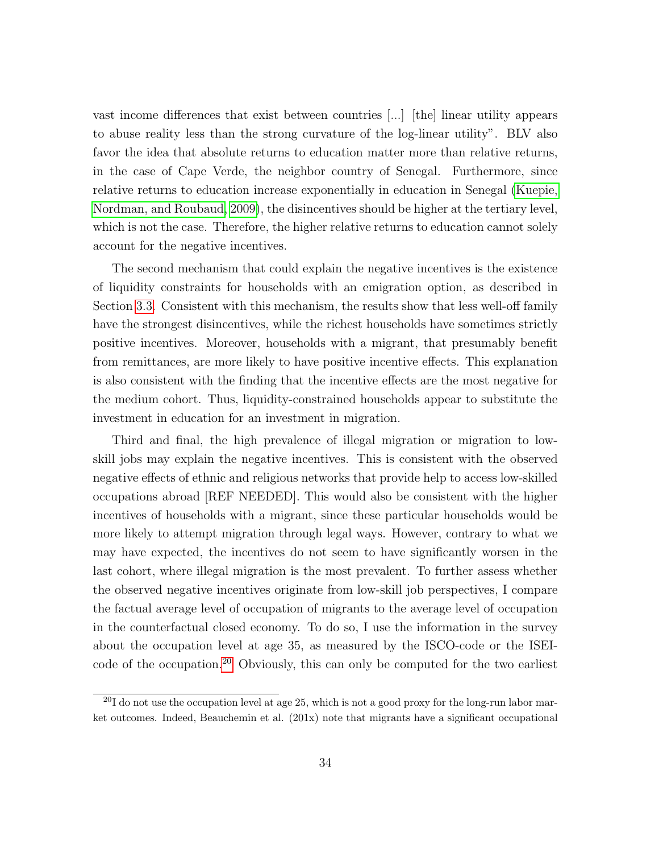vast income differences that exist between countries [...] [the] linear utility appears to abuse reality less than the strong curvature of the log-linear utility". BLV also favor the idea that absolute returns to education matter more than relative returns, in the case of Cape Verde, the neighbor country of Senegal. Furthermore, since relative returns to education increase exponentially in education in Senegal [\(Kuepie,](#page-37-11) [Nordman, and Roubaud, 2009\)](#page-37-11), the disincentives should be higher at the tertiary level, which is not the case. Therefore, the higher relative returns to education cannot solely account for the negative incentives.

The second mechanism that could explain the negative incentives is the existence of liquidity constraints for households with an emigration option, as described in Section [3.3.](#page-11-0) Consistent with this mechanism, the results show that less well-off family have the strongest disincentives, while the richest households have sometimes strictly positive incentives. Moreover, households with a migrant, that presumably benefit from remittances, are more likely to have positive incentive effects. This explanation is also consistent with the finding that the incentive effects are the most negative for the medium cohort. Thus, liquidity-constrained households appear to substitute the investment in education for an investment in migration.

Third and final, the high prevalence of illegal migration or migration to lowskill jobs may explain the negative incentives. This is consistent with the observed negative effects of ethnic and religious networks that provide help to access low-skilled occupations abroad [REF NEEDED]. This would also be consistent with the higher incentives of households with a migrant, since these particular households would be more likely to attempt migration through legal ways. However, contrary to what we may have expected, the incentives do not seem to have significantly worsen in the last cohort, where illegal migration is the most prevalent. To further assess whether the observed negative incentives originate from low-skill job perspectives, I compare the factual average level of occupation of migrants to the average level of occupation in the counterfactual closed economy. To do so, I use the information in the survey about the occupation level at age 35, as measured by the ISCO-code or the ISEIcode of the occupation.[20](#page-33-0) Obviously, this can only be computed for the two earliest

<span id="page-33-0"></span> $^{20}$ I do not use the occupation level at age 25, which is not a good proxy for the long-run labor market outcomes. Indeed, Beauchemin et al. (201x) note that migrants have a significant occupational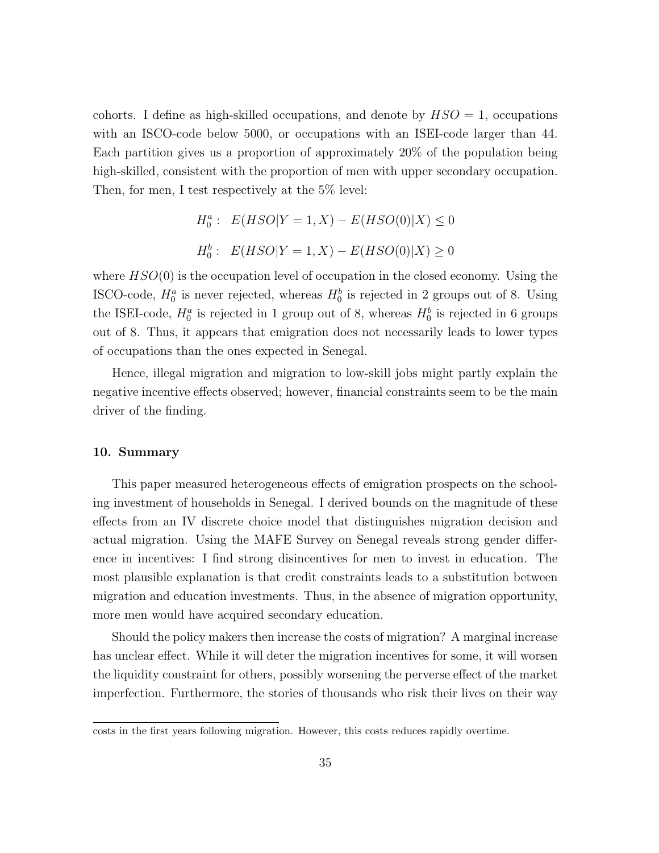cohorts. I define as high-skilled occupations, and denote by  $HSO = 1$ , occupations with an ISCO-code below 5000, or occupations with an ISEI-code larger than 44. Each partition gives us a proportion of approximately 20% of the population being high-skilled, consistent with the proportion of men with upper secondary occupation. Then, for men, I test respectively at the 5% level:

$$
H_0^a: E(HSO|Y=1, X) - E(HSO(0)|X) \le 0
$$
  

$$
H_0^b: E(HSO|Y=1, X) - E(HSO(0)|X) \ge 0
$$

where  $HSO(0)$  is the occupation level of occupation in the closed economy. Using the ISCO-code,  $H_0^a$  is never rejected, whereas  $H_0^b$  is rejected in 2 groups out of 8. Using the ISEI-code,  $H_0^a$  is rejected in 1 group out of 8, whereas  $H_0^b$  is rejected in 6 groups out of 8. Thus, it appears that emigration does not necessarily leads to lower types of occupations than the ones expected in Senegal.

Hence, illegal migration and migration to low-skill jobs might partly explain the negative incentive effects observed; however, financial constraints seem to be the main driver of the finding.

# 10. Summary

This paper measured heterogeneous effects of emigration prospects on the schooling investment of households in Senegal. I derived bounds on the magnitude of these effects from an IV discrete choice model that distinguishes migration decision and actual migration. Using the MAFE Survey on Senegal reveals strong gender difference in incentives: I find strong disincentives for men to invest in education. The most plausible explanation is that credit constraints leads to a substitution between migration and education investments. Thus, in the absence of migration opportunity, more men would have acquired secondary education.

Should the policy makers then increase the costs of migration? A marginal increase has unclear effect. While it will deter the migration incentives for some, it will worsen the liquidity constraint for others, possibly worsening the perverse effect of the market imperfection. Furthermore, the stories of thousands who risk their lives on their way

costs in the first years following migration. However, this costs reduces rapidly overtime.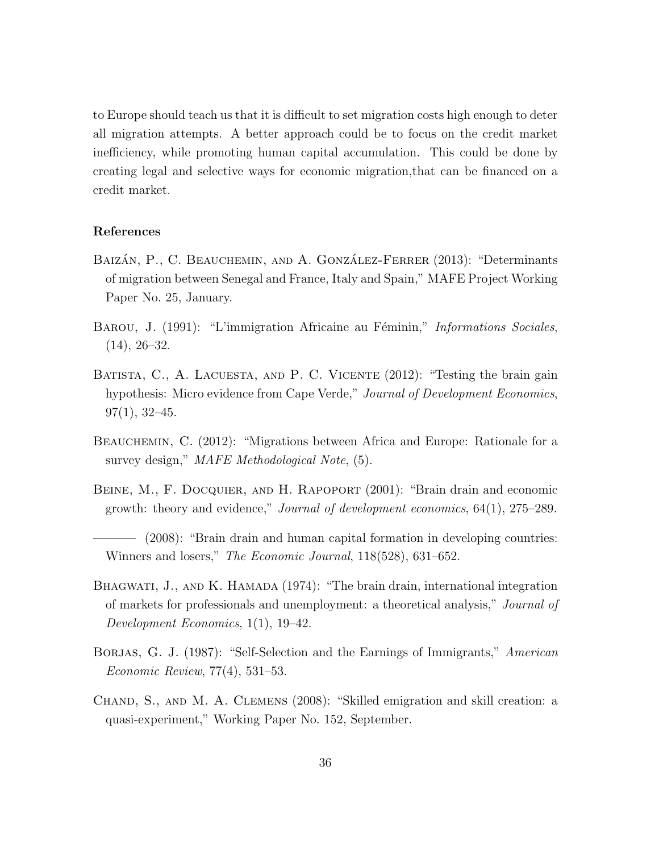to Europe should teach us that it is difficult to set migration costs high enough to deter all migration attempts. A better approach could be to focus on the credit market inefficiency, while promoting human capital accumulation. This could be done by creating legal and selective ways for economic migration,that can be financed on a credit market.

# References

- <span id="page-35-5"></span>BAIZÁN, P., C. BEAUCHEMIN, AND A. GONZÁLEZ-FERRER (2013): "Determinants of migration between Senegal and France, Italy and Spain," MAFE Project Working Paper No. 25, January.
- <span id="page-35-7"></span>BAROU, J. (1991): "L'immigration Africaine au Féminin," Informations Sociales,  $(14), 26-32.$
- <span id="page-35-2"></span>BATISTA, C., A. LACUESTA, AND P. C. VICENTE (2012): "Testing the brain gain hypothesis: Micro evidence from Cape Verde," Journal of Development Economics,  $97(1), 32-45.$
- <span id="page-35-6"></span>BEAUCHEMIN, C. (2012): "Migrations between Africa and Europe: Rationale for a survey design," MAFE Methodological Note,  $(5)$ .
- <span id="page-35-0"></span>BEINE, M., F. DOCQUIER, AND H. RAPOPORT (2001): "Brain drain and economic growth: theory and evidence," Journal of development economics, 64(1), 275–289.
- <span id="page-35-1"></span>(2008): "Brain drain and human capital formation in developing countries: Winners and losers," The Economic Journal, 118(528), 631–652.
- <span id="page-35-3"></span>BHAGWATI, J., AND K. HAMADA (1974): "The brain drain, international integration of markets for professionals and unemployment: a theoretical analysis," Journal of Development Economics, 1(1), 19–42.
- <span id="page-35-8"></span>BORJAS, G. J. (1987): "Self-Selection and the Earnings of Immigrants," American Economic Review, 77(4), 531–53.
- <span id="page-35-4"></span>Chand, S., and M. A. Clemens (2008): "Skilled emigration and skill creation: a quasi-experiment," Working Paper No. 152, September.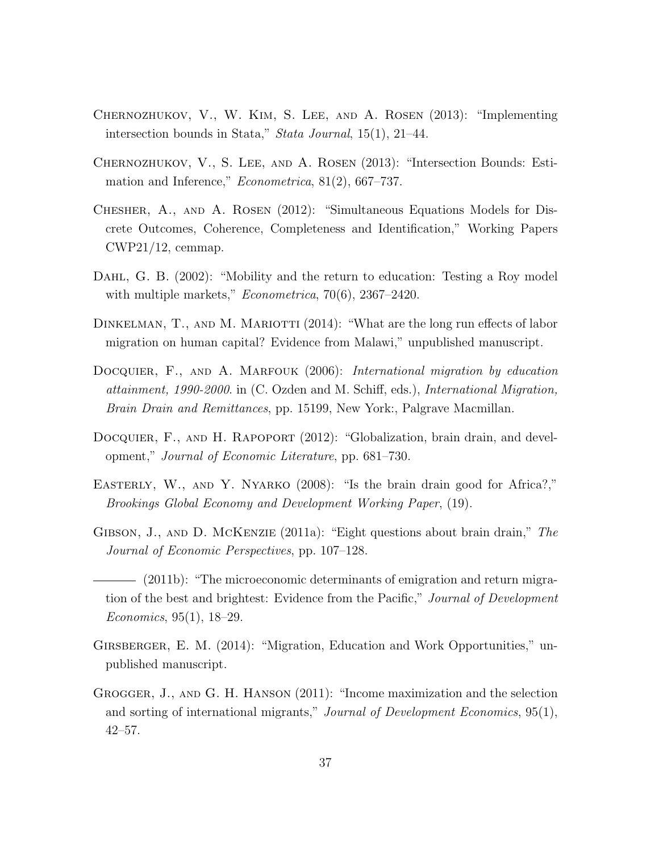- <span id="page-36-10"></span>Chernozhukov, V., W. Kim, S. Lee, and A. Rosen (2013): "Implementing intersection bounds in Stata," Stata Journal, 15(1), 21–44.
- <span id="page-36-9"></span>Chernozhukov, V., S. Lee, and A. Rosen (2013): "Intersection Bounds: Estimation and Inference,"  $Econometrica$ ,  $81(2)$ ,  $667-737$ .
- <span id="page-36-6"></span>Chesher, A., and A. Rosen (2012): "Simultaneous Equations Models for Discrete Outcomes, Coherence, Completeness and Identification," Working Papers CWP21/12, cemmap.
- <span id="page-36-5"></span>DAHL, G. B. (2002): "Mobility and the return to education: Testing a Roy model with multiple markets," *Econometrica*, 70(6), 2367-2420.
- <span id="page-36-4"></span>DINKELMAN, T., AND M. MARIOTTI (2014): "What are the long run effects of labor migration on human capital? Evidence from Malawi," unpublished manuscript.
- <span id="page-36-8"></span>DOCQUIER, F., AND A. MARFOUK (2006): International migration by education attainment, 1990-2000. in (C. Ozden and M. Schiff, eds.), International Migration, Brain Drain and Remittances, pp. 15199, New York:, Palgrave Macmillan.
- <span id="page-36-2"></span>DOCQUIER, F., AND H. RAPOPORT (2012): "Globalization, brain drain, and development," Journal of Economic Literature, pp. 681–730.
- <span id="page-36-7"></span>EASTERLY, W., AND Y. NYARKO (2008): "Is the brain drain good for Africa?," Brookings Global Economy and Development Working Paper, (19).
- <span id="page-36-0"></span>Gibson, J., and D. McKenzie (2011a): "Eight questions about brain drain," The Journal of Economic Perspectives, pp. 107–128.
- <span id="page-36-1"></span>(2011b): "The microeconomic determinants of emigration and return migration of the best and brightest: Evidence from the Pacific," Journal of Development Economics, 95(1), 18–29.
- <span id="page-36-3"></span>GIRSBERGER, E. M. (2014): "Migration, Education and Work Opportunities," unpublished manuscript.
- <span id="page-36-11"></span>Grogger, J., and G. H. Hanson (2011): "Income maximization and the selection and sorting of international migrants," Journal of Development Economics, 95(1), 42–57.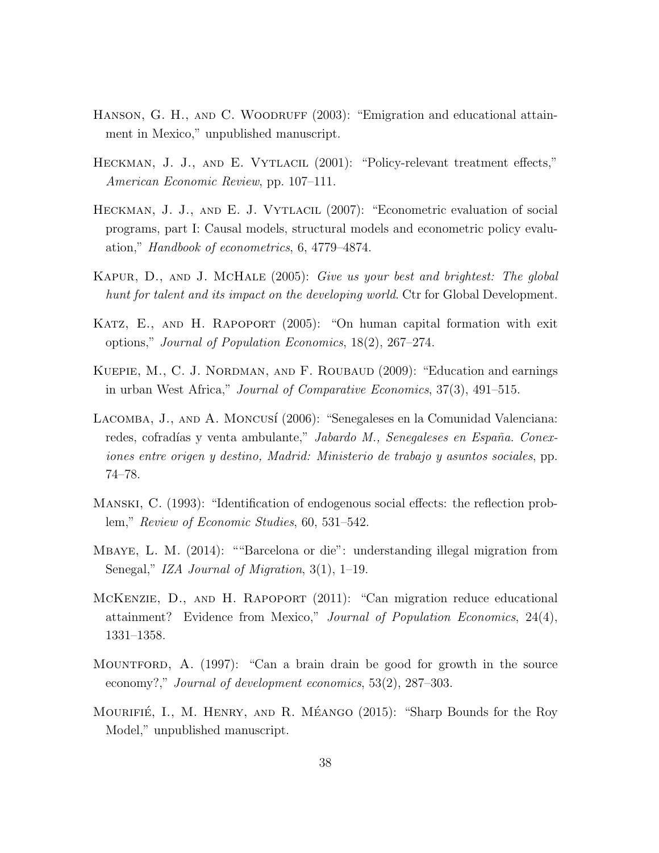- <span id="page-37-10"></span>HANSON, G. H., AND C. WOODRUFF (2003): "Emigration and educational attainment in Mexico," unpublished manuscript.
- <span id="page-37-3"></span>HECKMAN, J. J., AND E. VYTLACIL (2001): "Policy-relevant treatment effects," American Economic Review, pp. 107–111.
- <span id="page-37-5"></span>HECKMAN, J. J., AND E. J. VYTLACIL (2007): "Econometric evaluation of social programs, part I: Causal models, structural models and econometric policy evaluation," Handbook of econometrics, 6, 4779–4874.
- <span id="page-37-0"></span>Kapur, D., and J. McHale (2005): Give us your best and brightest: The global hunt for talent and its impact on the developing world. Ctr for Global Development.
- <span id="page-37-4"></span>Katz, E., and H. Rapoport (2005): "On human capital formation with exit options," Journal of Population Economics, 18(2), 267–274.
- <span id="page-37-11"></span>KUEPIE, M., C. J. NORDMAN, AND F. ROUBAUD (2009): "Education and earnings in urban West Africa," Journal of Comparative Economics, 37(3), 491–515.
- <span id="page-37-8"></span>LACOMBA, J., AND A. MONCUSÍ (2006): "Senegaleses en la Comunidad Valenciana: redes, cofradías y venta ambulante," Jabardo M., Senegaleses en España. Conexiones entre origen y destino, Madrid: Ministerio de trabajo y asuntos sociales, pp. 74–78.
- <span id="page-37-6"></span>Manski, C. (1993): "Identification of endogenous social effects: the reflection problem," Review of Economic Studies, 60, 531–542.
- <span id="page-37-9"></span>Mbaye, L. M. (2014): ""Barcelona or die": understanding illegal migration from Senegal," IZA Journal of Migration, 3(1), 1–19.
- <span id="page-37-2"></span>MCKENZIE, D., AND H. RAPOPORT (2011): "Can migration reduce educational attainment? Evidence from Mexico," Journal of Population Economics, 24(4), 1331–1358.
- <span id="page-37-1"></span>Mountford, A. (1997): "Can a brain drain be good for growth in the source economy?," Journal of development economics, 53(2), 287–303.
- <span id="page-37-7"></span>MOURIFIÉ, I., M. HENRY, AND R. MÉANGO (2015): "Sharp Bounds for the Roy Model," unpublished manuscript.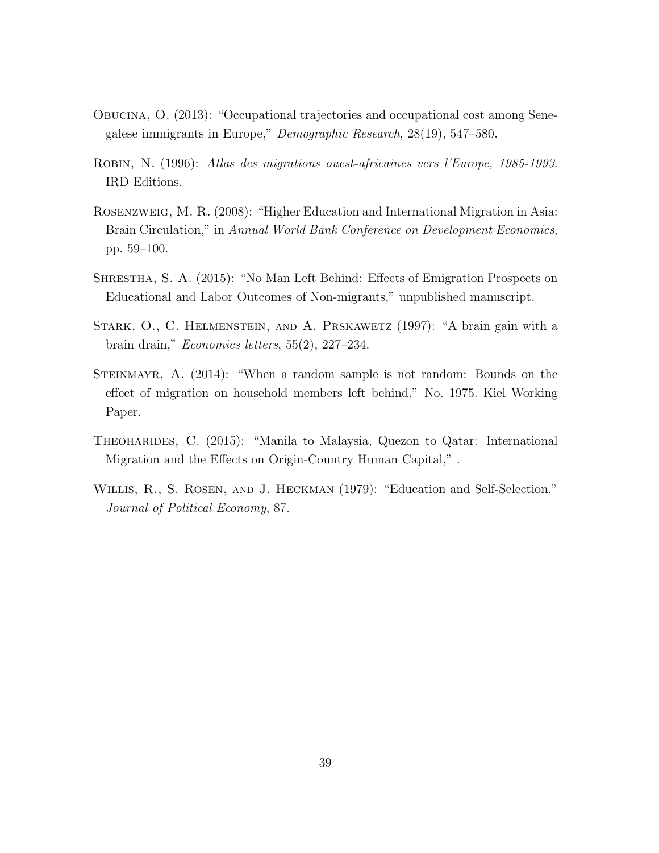- <span id="page-38-7"></span>Obucina, O. (2013): "Occupational trajectories and occupational cost among Senegalese immigrants in Europe," Demographic Research, 28(19), 547–580.
- <span id="page-38-6"></span>Robin, N. (1996): Atlas des migrations ouest-africaines vers l'Europe, 1985-1993. IRD Editions.
- <span id="page-38-5"></span>Rosenzweig, M. R. (2008): "Higher Education and International Migration in Asia: Brain Circulation," in Annual World Bank Conference on Development Economics, pp. 59–100.
- <span id="page-38-1"></span>SHRESTHA, S. A. (2015): "No Man Left Behind: Effects of Emigration Prospects on Educational and Labor Outcomes of Non-migrants," unpublished manuscript.
- <span id="page-38-0"></span>STARK, O., C. HELMENSTEIN, AND A. PRSKAWETZ (1997): "A brain gain with a brain drain," Economics letters, 55(2), 227–234.
- <span id="page-38-3"></span>STEINMAYR, A. (2014): "When a random sample is not random: Bounds on the effect of migration on household members left behind," No. 1975. Kiel Working Paper.
- <span id="page-38-2"></span>THEOHARIDES, C. (2015): "Manila to Malaysia, Quezon to Qatar: International Migration and the Effects on Origin-Country Human Capital," .
- <span id="page-38-4"></span>Willis, R., S. Rosen, and J. Heckman (1979): "Education and Self-Selection," Journal of Political Economy, 87.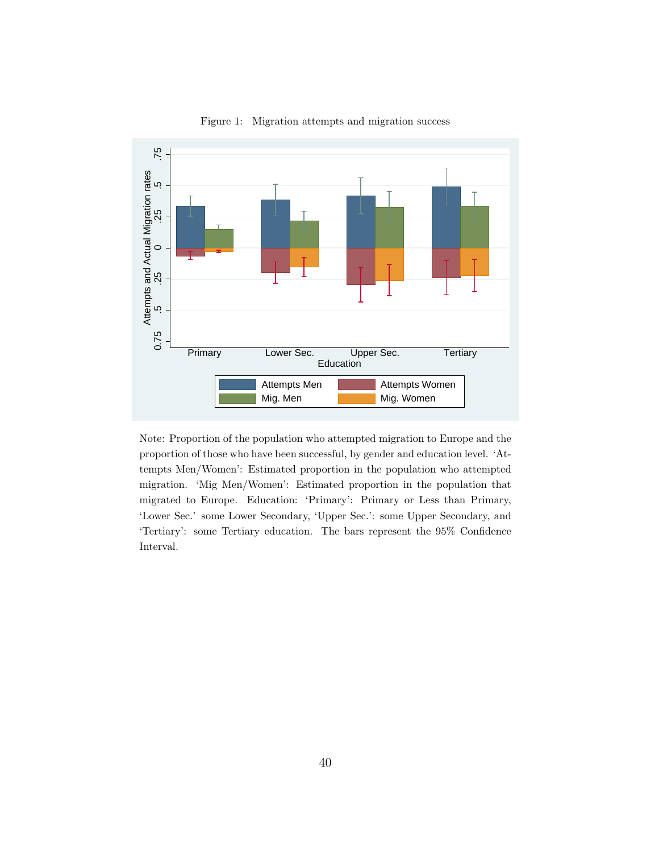

<span id="page-39-0"></span>Figure 1: Migration attempts and migration success

Note: Proportion of the population who attempted migration to Europe and the proportion of those who have been successful, by gender and education level. 'Attempts Men/Women': Estimated proportion in the population who attempted migration. 'Mig Men/Women': Estimated proportion in the population that migrated to Europe. Education: 'Primary': Primary or Less than Primary, 'Lower Sec.' some Lower Secondary, 'Upper Sec.': some Upper Secondary, and 'Tertiary': some Tertiary education. The bars represent the 95% Confidence Interval.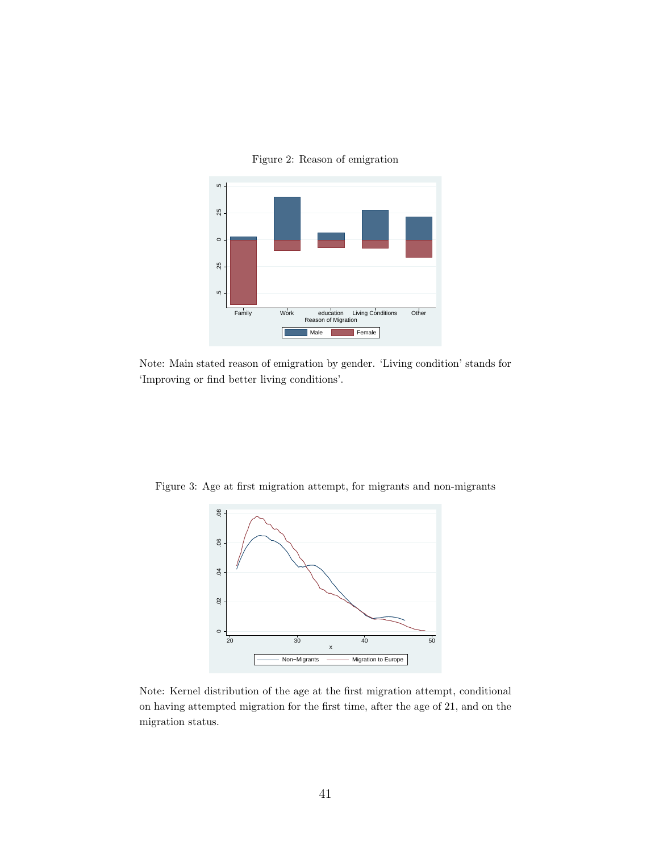<span id="page-40-1"></span>



Note: Main stated reason of emigration by gender. 'Living condition' stands for 'Improving or find better living conditions'.

Figure 3: Age at first migration attempt, for migrants and non-migrants

<span id="page-40-0"></span>

Note: Kernel distribution of the age at the first migration attempt, conditional on having attempted migration for the first time, after the age of 21, and on the migration status.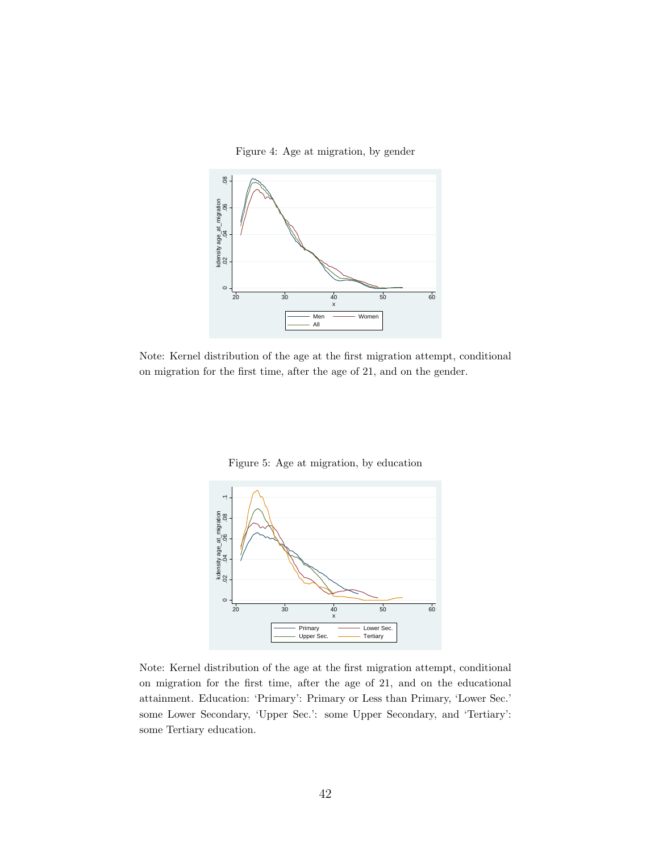<span id="page-41-0"></span>Figure 4: Age at migration, by gender



Note: Kernel distribution of the age at the first migration attempt, conditional on migration for the first time, after the age of 21, and on the gender.



20 30 40 50 60 x Primary **Lower Sec.** Upper Sec. - Tertiary

 $\circ$ 

<span id="page-41-1"></span>Figure 5: Age at migration, by education

Note: Kernel distribution of the age at the first migration attempt, conditional on migration for the first time, after the age of 21, and on the educational attainment. Education: 'Primary': Primary or Less than Primary, 'Lower Sec.' some Lower Secondary, 'Upper Sec.': some Upper Secondary, and 'Tertiary': some Tertiary education.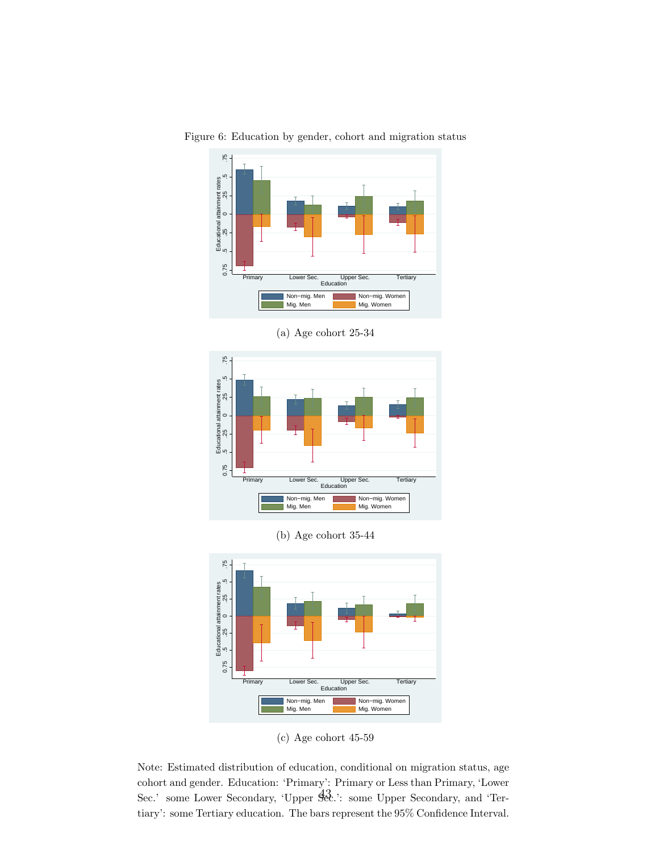

Figure 6: Education by gender, cohort and migration status

(a) Age cohort 25-34



(b) Age cohort 35-44



<span id="page-42-0"></span>(c) Age cohort 45-59

Note: Estimated distribution of education, conditional on migration status, age cohort and gender. Education: 'Primary': Primary or Less than Primary, 'Lower Sec.' some Lower Secondary, 'Upper Sec.': some Upper Secondary, and 'Tertiary': some Tertiary education. The bars represent the 95% Confidence Interval.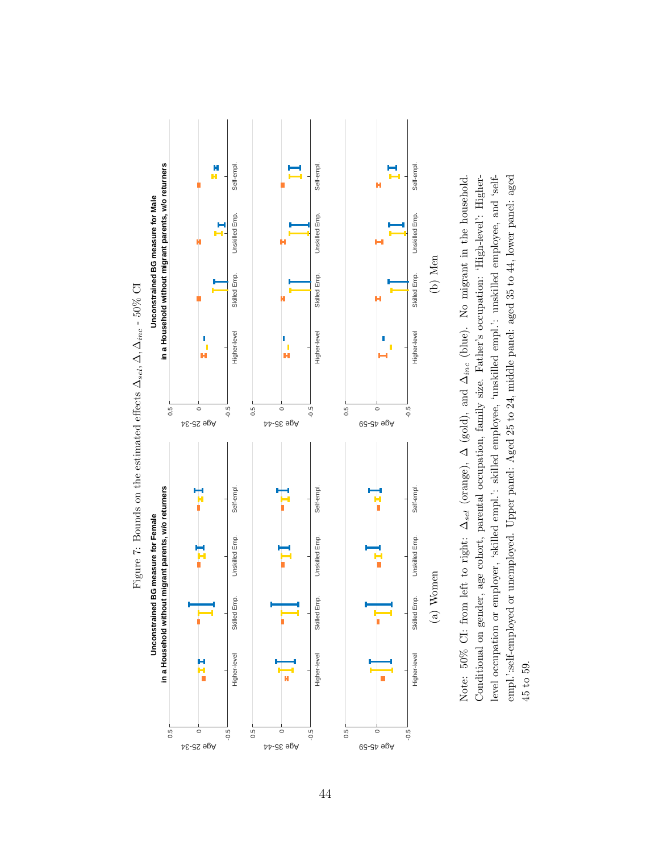<span id="page-43-0"></span>

Note: 50% CI: from left to right:  $\Delta_{sel}$  (orange),  $\Delta$  (gold), and  $\Delta_{inc}$  (blue). No migrant in the household. Conditional on gender, age cohort, parental occupation, family size. Father's occupation: 'High-level': Higherlevel occupation or employer, 'skilled empl.': skilled employee, 'unskilled empl.': unskilled employee, and 'selfempl.':self-employed or unemployed. Upper panel: Aged 25 to 24, middle panel: aged 35 to 44, lower panel: aged Note: 50% CI: from left to right: ∆<sub>sel</sub> (orange), ∆ (gold), and ∆<sub>inc</sub> (blue). No migrant in the household. Conditional on gender, age cohort, parental occupation, family size. Father's occupation: 'High-level': Higherempl.':self-employed or unemployed. Upper panel: Aged 25 to 24, middle panel: aged 35 to 44, lower panel: aged level occupation or employer, 'skilled empl.': skilled employee, 'unskilled empl.': unskilled employee, and 'self-45 to 59.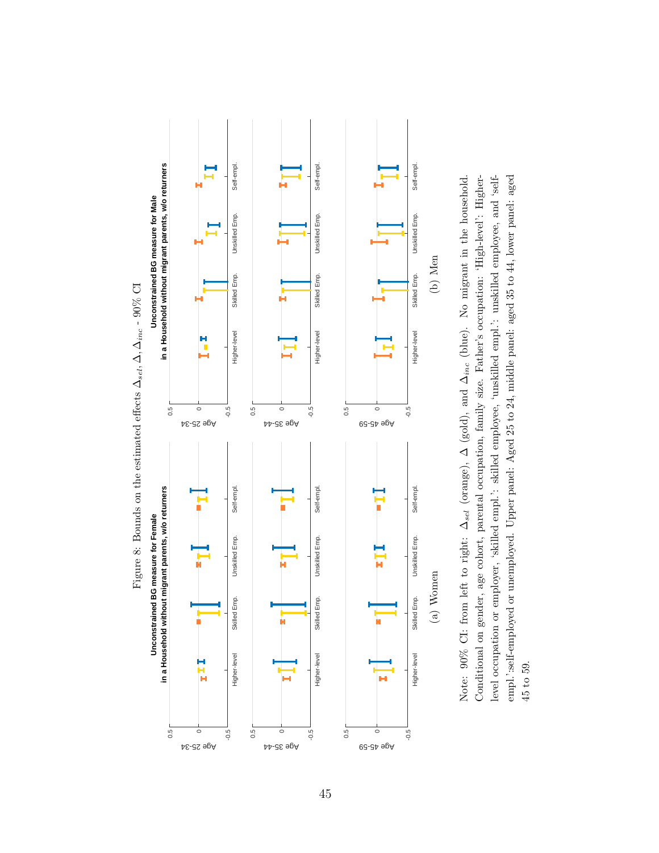<span id="page-44-0"></span>

Conditional on gender, age cohort, parental occupation, family size. Father's occupation: 'High-level': Higherlevel occupation or employer, 'skilled empl.': skilled employee, 'unskilled empl.': unskilled employee, and 'selfempl.':self-employed or unemployed. Upper panel: Aged 25 to 24, middle panel: aged 35 to 44, lower panel: aged Note: 90% CI: from left to right:  $\Delta_{sel}$  (orange),  $\Delta$  (gold), and  $\Delta_{inc}$  (blue). No migrant in the household. Note: 90% CI: from left to right: ∆<sub>sel</sub> (orange), ∆ (gold), and ∆<sub>inc</sub> (blue). No migrant in the household. Conditional on gender, age cohort, parental occupation, family size. Father's occupation: 'High-level': Higherempl.':self-employed or unemployed. Upper panel: Aged 25 to 24, middle panel: aged 35 to 44, lower panel: aged level occupation or employer, 'skilled empl.': skilled employee, 'unskilled empl.': unskilled employee, and 'self-45 to 59.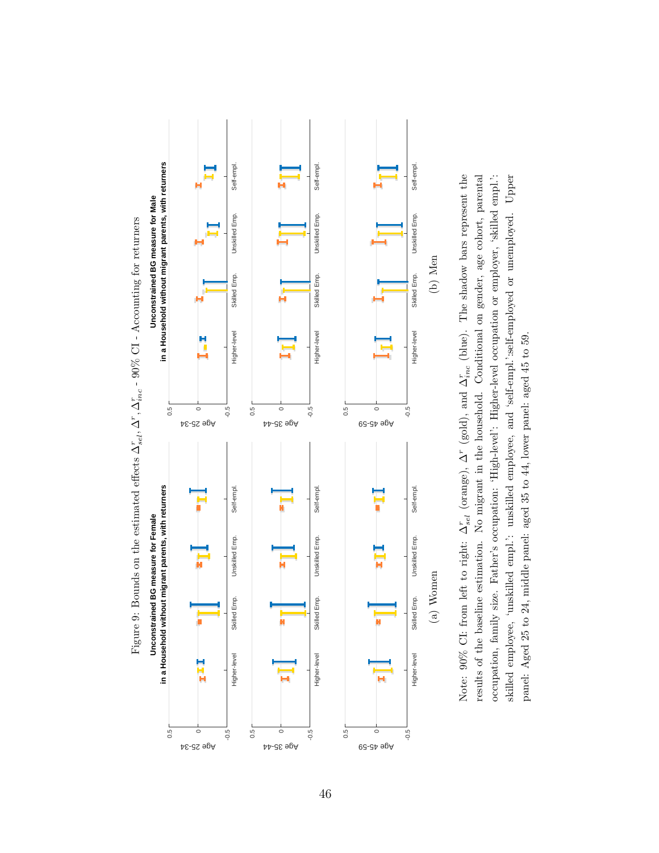<span id="page-45-0"></span>





46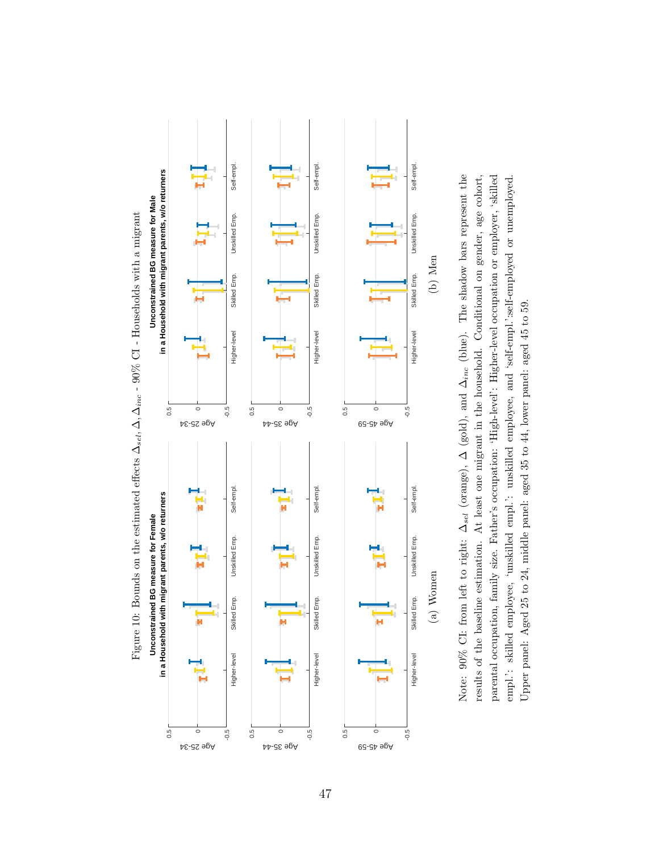<span id="page-46-0"></span>



47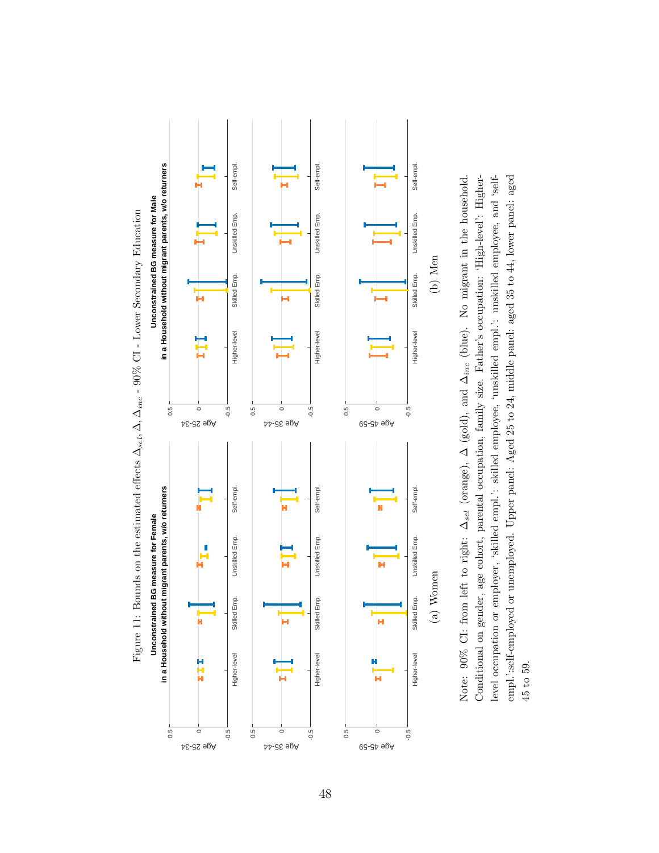<span id="page-47-0"></span>

Conditional on gender, age cohort, parental occupation, family size. Father's occupation: 'High-level': Higherlevel occupation or employer, 'skilled empl.': skilled employee, 'unskilled empl.': unskilled employee, and 'selfempl.':self-employed or unemployed. Upper panel: Aged 25 to 24, middle panel: aged 35 to 44, lower panel: aged Note: 90% CI: from left to right:  $\Delta_{sel}$  (orange),  $\Delta$  (gold), and  $\Delta_{inc}$  (blue). No migrant in the household. Note: 90% CI: from left to right: ∆<sub>sel</sub> (orange), ∆ (gold), and ∆<sub>inc</sub> (blue). No migrant in the household. Conditional on gender, age cohort, parental occupation, family size. Father's occupation: 'High-level': Higherempl.':self-employed or unemployed. Upper panel: Aged 25 to 24, middle panel: aged 35 to 44, lower panel: aged level occupation or employer, 'skilled empl.': skilled employee, 'unskilled empl.': unskilled employee, and 'self-45 to 59.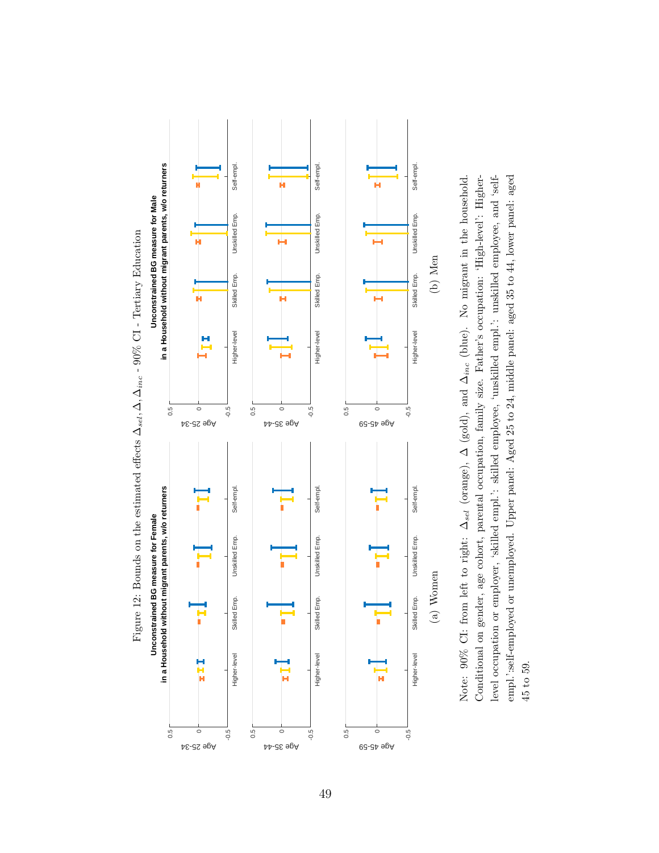<span id="page-48-0"></span>

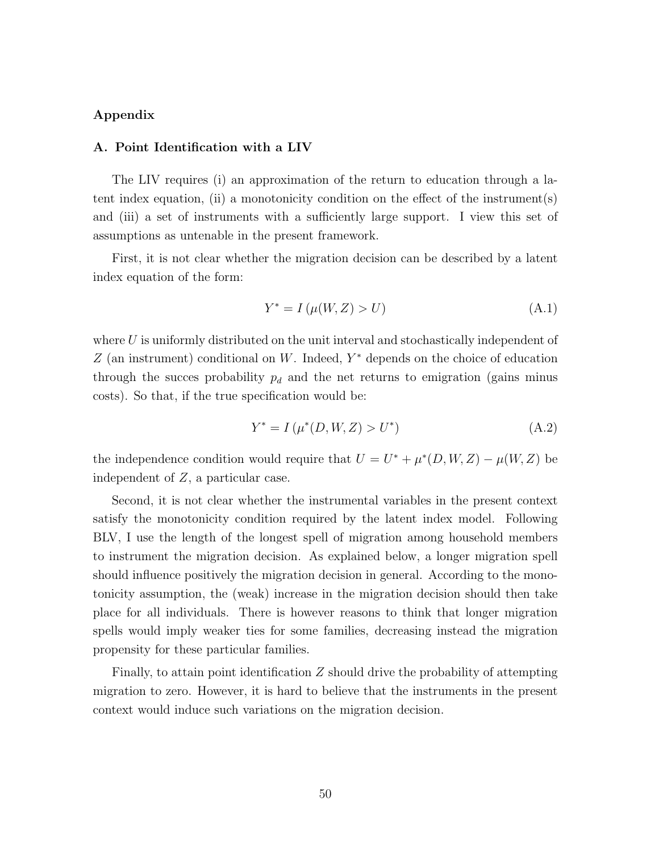# Appendix

## <span id="page-49-0"></span>A. Point Identification with a LIV

The LIV requires (i) an approximation of the return to education through a latent index equation, (ii) a monotonicity condition on the effect of the instrument(s) and (iii) a set of instruments with a sufficiently large support. I view this set of assumptions as untenable in the present framework.

First, it is not clear whether the migration decision can be described by a latent index equation of the form:

$$
Y^* = I(\mu(W, Z) > U)
$$
 (A.1)

where  $U$  is uniformly distributed on the unit interval and stochastically independent of  $Z$  (an instrument) conditional on W. Indeed,  $Y^*$  depends on the choice of education through the succes probability  $p_d$  and the net returns to emigration (gains minus costs). So that, if the true specification would be:

$$
Y^* = I(\mu^*(D, W, Z) > U^*)
$$
 (A.2)

the independence condition would require that  $U = U^* + \mu^*(D, W, Z) - \mu(W, Z)$  be independent of Z, a particular case.

Second, it is not clear whether the instrumental variables in the present context satisfy the monotonicity condition required by the latent index model. Following BLV, I use the length of the longest spell of migration among household members to instrument the migration decision. As explained below, a longer migration spell should influence positively the migration decision in general. According to the monotonicity assumption, the (weak) increase in the migration decision should then take place for all individuals. There is however reasons to think that longer migration spells would imply weaker ties for some families, decreasing instead the migration propensity for these particular families.

Finally, to attain point identification  $Z$  should drive the probability of attempting migration to zero. However, it is hard to believe that the instruments in the present context would induce such variations on the migration decision.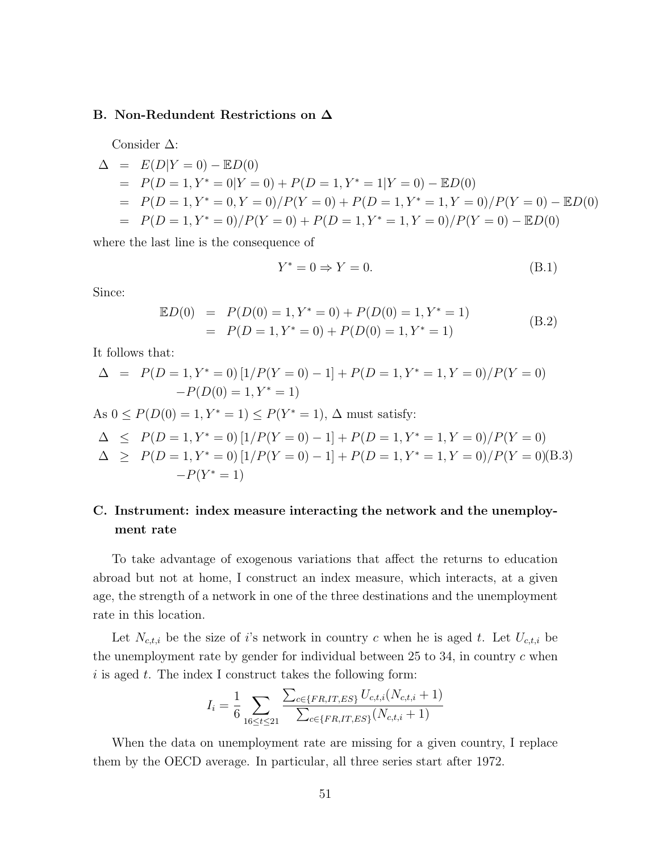# <span id="page-50-0"></span>B. Non-Redundent Restrictions on ∆

Consider ∆:

$$
\Delta = E(D|Y=0) - ED(0)
$$
  
=  $P(D=1, Y^* = 0|Y=0) + P(D=1, Y^* = 1|Y=0) - ED(0)$   
=  $P(D=1, Y^* = 0, Y=0) / P(Y=0) + P(D=1, Y^* = 1, Y=0) / P(Y=0) - ED(0)$   
=  $P(D=1, Y^* = 0) / P(Y=0) + P(D=1, Y^* = 1, Y=0) / P(Y=0) - ED(0)$ 

where the last line is the consequence of

$$
Y^* = 0 \Rightarrow Y = 0. \tag{B.1}
$$

Since:

$$
\mathbb{E}D(0) = P(D(0) = 1, Y^* = 0) + P(D(0) = 1, Y^* = 1) \n= P(D = 1, Y^* = 0) + P(D(0) = 1, Y^* = 1)
$$
\n(B.2)

It follows that:

$$
\Delta = P(D = 1, Y^* = 0) [1/P(Y = 0) - 1] + P(D = 1, Y^* = 1, Y = 0) / P(Y = 0)
$$

$$
-P(D(0) = 1, Y^* = 1)
$$

As  $0 \le P(D(0) = 1, Y^* = 1) \le P(Y^* = 1), \Delta$  must satisfy:

$$
\Delta \le P(D=1, Y^* = 0) [1/P(Y=0) - 1] + P(D=1, Y^* = 1, Y = 0) / P(Y=0)
$$

$$
\Delta \ge P(D = 1, Y^* = 0) [1/P(Y = 0) - 1] + P(D = 1, Y^* = 1, Y = 0) / P(Y = 0)
$$
(B.3)  
-P(Y^\* = 1)

# <span id="page-50-1"></span>C. Instrument: index measure interacting the network and the unemployment rate

To take advantage of exogenous variations that affect the returns to education abroad but not at home, I construct an index measure, which interacts, at a given age, the strength of a network in one of the three destinations and the unemployment rate in this location.

Let  $N_{c,t,i}$  be the size of i's network in country c when he is aged t. Let  $U_{c,t,i}$  be the unemployment rate by gender for individual between  $25$  to  $34$ , in country c when  $i$  is aged  $t$ . The index I construct takes the following form:

$$
I_i = \frac{1}{6} \sum_{16 \le t \le 21} \frac{\sum_{c \in \{FR, IT, ES\}} U_{c,t,i}(N_{c,t,i} + 1)}{\sum_{c \in \{FR, IT, ES\}} (N_{c,t,i} + 1)}
$$

When the data on unemployment rate are missing for a given country, I replace them by the OECD average. In particular, all three series start after 1972.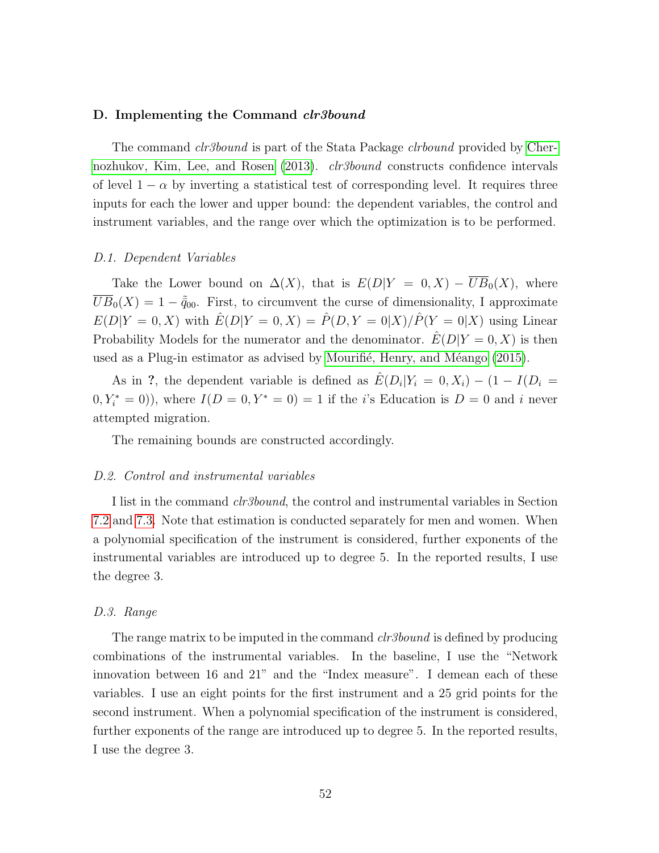### <span id="page-51-0"></span>D. Implementing the Command *clr3bound*

The command *clr3bound* is part of the Stata Package *clrbound* provided by [Cher](#page-36-10)[nozhukov, Kim, Lee, and Rosen](#page-36-10) [\(2013\)](#page-36-10). *clr3bound* constructs confidence intervals of level  $1 - \alpha$  by inverting a statistical test of corresponding level. It requires three inputs for each the lower and upper bound: the dependent variables, the control and instrument variables, and the range over which the optimization is to be performed.

#### D.1. Dependent Variables

Take the Lower bound on  $\Delta(X)$ , that is  $E(D|Y = 0, X) - \overline{UB}_0(X)$ , where  $\overline{UB}_0(X) = 1 - \tilde{q}_{00}$ . First, to circumvent the curse of dimensionality, I approximate  $E(D|Y=0, X)$  with  $\hat{E}(D|Y=0, X) = \hat{P}(D, Y=0|X)/\hat{P}(Y=0|X)$  using Linear Probability Models for the numerator and the denominator.  $\hat{E}(D|Y=0, X)$  is then used as a Plug-in estimator as advised by Mourifié, Henry, and Méango  $(2015)$ .

As in ?, the dependent variable is defined as  $\hat{E}(D_i|Y_i = 0, X_i) - (1 - I(D_i =$  $(0, Y_i^* = 0)$ , where  $I(D = 0, Y^* = 0) = 1$  if the *i*'s Education is  $D = 0$  and *i* never attempted migration.

The remaining bounds are constructed accordingly.

#### D.2. Control and instrumental variables

I list in the command clr3bound, the control and instrumental variables in Section [7.2](#page-23-1) and [7.3.](#page-24-1) Note that estimation is conducted separately for men and women. When a polynomial specification of the instrument is considered, further exponents of the instrumental variables are introduced up to degree 5. In the reported results, I use the degree 3.

# D.3. Range

The range matrix to be imputed in the command *clr3bound* is defined by producing combinations of the instrumental variables. In the baseline, I use the "Network innovation between 16 and 21" and the "Index measure". I demean each of these variables. I use an eight points for the first instrument and a 25 grid points for the second instrument. When a polynomial specification of the instrument is considered, further exponents of the range are introduced up to degree 5. In the reported results, I use the degree 3.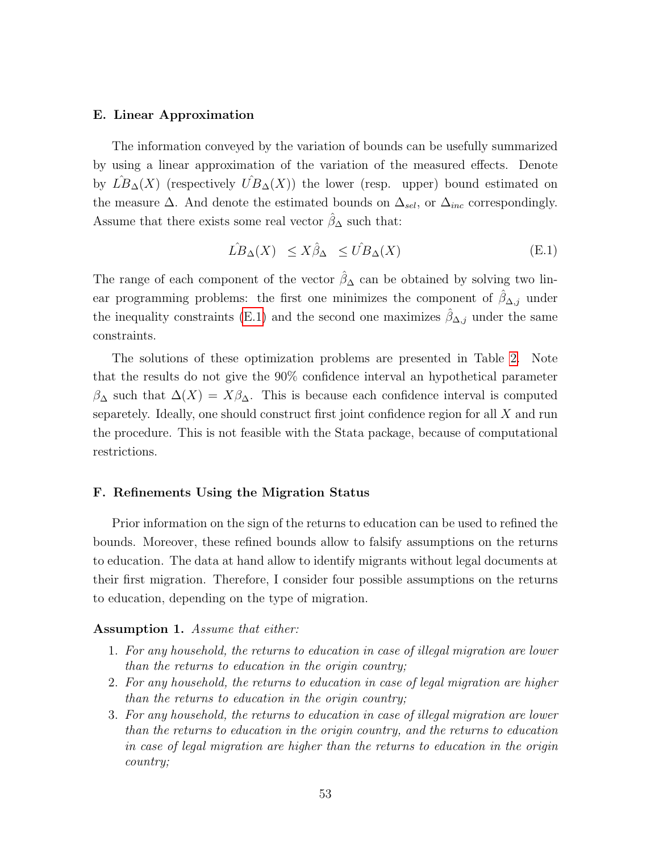### <span id="page-52-0"></span>E. Linear Approximation

The information conveyed by the variation of bounds can be usefully summarized by using a linear approximation of the variation of the measured effects. Denote by  $L\ddot{B}_{\Delta}(X)$  (respectively  $\dot{UB}_{\Delta}(X)$ ) the lower (resp. upper) bound estimated on the measure  $\Delta$ . And denote the estimated bounds on  $\Delta_{sel}$ , or  $\Delta_{inc}$  correspondingly. Assume that there exists some real vector  $\hat{\beta}_{\Delta}$  such that:

<span id="page-52-1"></span>
$$
\hat{LB}_{\Delta}(X) \le X\hat{\beta}_{\Delta} \le \hat{UB}_{\Delta}(X) \tag{E.1}
$$

The range of each component of the vector  $\hat{\beta}_{\Delta}$  can be obtained by solving two linear programming problems: the first one minimizes the component of  $\hat{\beta}_{\Delta,j}$  under the inequality constraints [\(E.1\)](#page-52-1) and the second one maximizes  $\hat{\beta}_{\Delta,j}$  under the same constraints.

The solutions of these optimization problems are presented in Table [2.](#page-31-0) Note that the results do not give the 90% confidence interval an hypothetical parameter  $\beta_{\Delta}$  such that  $\Delta(X) = X\beta_{\Delta}$ . This is because each confidence interval is computed separetely. Ideally, one should construct first joint confidence region for all X and run the procedure. This is not feasible with the Stata package, because of computational restrictions.

# F. Refinements Using the Migration Status

Prior information on the sign of the returns to education can be used to refined the bounds. Moreover, these refined bounds allow to falsify assumptions on the returns to education. The data at hand allow to identify migrants without legal documents at their first migration. Therefore, I consider four possible assumptions on the returns to education, depending on the type of migration.

## <span id="page-52-2"></span>Assumption 1. Assume that either:

- 1. For any household, the returns to education in case of illegal migration are lower than the returns to education in the origin country;
- 2. For any household, the returns to education in case of legal migration are higher than the returns to education in the origin country;
- 3. For any household, the returns to education in case of illegal migration are lower than the returns to education in the origin country, and the returns to education in case of legal migration are higher than the returns to education in the origin country;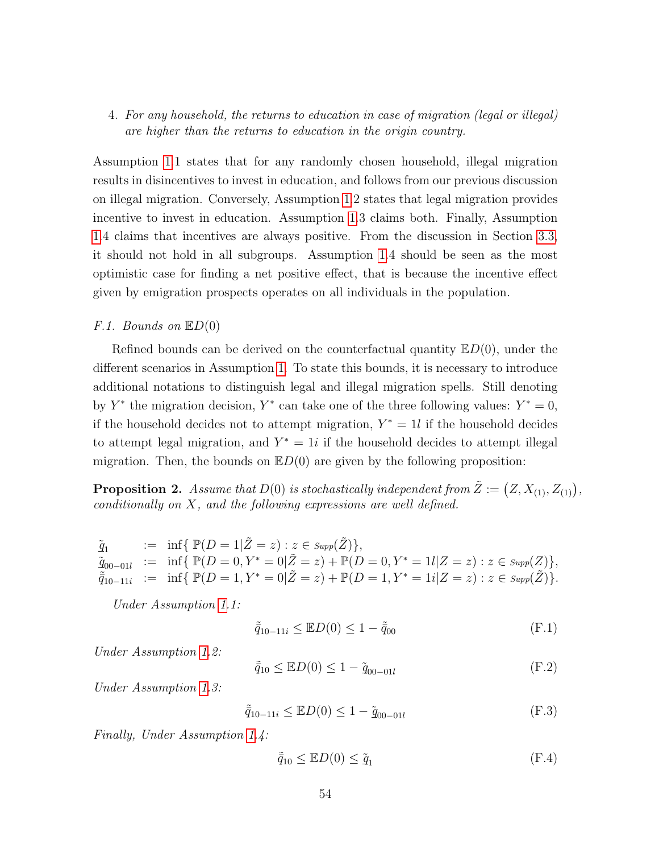# 4. For any household, the returns to education in case of migration (legal or illegal) are higher than the returns to education in the origin country.

Assumption [1.](#page-52-2)1 states that for any randomly chosen household, illegal migration results in disincentives to invest in education, and follows from our previous discussion on illegal migration. Conversely, Assumption [1.](#page-52-2)2 states that legal migration provides incentive to invest in education. Assumption [1.](#page-52-2)3 claims both. Finally, Assumption [1.](#page-52-2)4 claims that incentives are always positive. From the discussion in Section [3.3,](#page-11-0) it should not hold in all subgroups. Assumption [1.](#page-52-2)4 should be seen as the most optimistic case for finding a net positive effect, that is because the incentive effect given by emigration prospects operates on all individuals in the population.

# F.1. Bounds on  $\mathbb{E}D(0)$

Refined bounds can be derived on the counterfactual quantity  $E(D(0))$ , under the different scenarios in Assumption [1.](#page-52-2) To state this bounds, it is necessary to introduce additional notations to distinguish legal and illegal migration spells. Still denoting by Y<sup>\*</sup> the migration decision, Y<sup>\*</sup> can take one of the three following values:  $Y^* = 0$ , if the household decides not to attempt migration,  $Y^* = 1l$  if the household decides to attempt legal migration, and  $Y^* = 1i$  if the household decides to attempt illegal migration. Then, the bounds on  $E(D(0))$  are given by the following proposition:

<span id="page-53-0"></span>**Proposition 2.** Assume that  $D(0)$  is stochastically independent from  $\tilde{Z} := (Z, X_{(1)}, Z_{(1)})$ , conditionally on X, and the following expressions are well defined.

 $\tilde{q}_1$ :=  $\inf \{ \mathbb{P}(D = 1 | \tilde{Z} = z) : z \in \text{Supp}(\tilde{Z}) \},$  $\tilde{q}_{00-01l}$  := inf{  $\mathbb{P}(D=0, Y^*=0|\tilde{Z}=z) + \mathbb{P}(D=0, Y^*=1l|Z=z) : z \in \text{Supp}(Z)$ },  $\tilde{\bar{q}}_{10-11i}$  := inf{  $\mathbb{P}(D=1, Y^*=0|\tilde{Z}=z)+\mathbb{P}(D=1, Y^*=1i|Z=z) : z \in \text{Supp}(\tilde{Z})\}.$ 

Under Assumption [1.](#page-52-2)1:

$$
\tilde{\bar{q}}_{10-11i} \leq \mathbb{E}D(0) \leq 1 - \tilde{\bar{q}}_{00} \tag{F.1}
$$

Under Assumption [1.](#page-52-2)2:

$$
\tilde{\bar{q}}_{10} \leq \mathbb{E}D(0) \leq 1 - \tilde{q}_{00-01l} \tag{F.2}
$$

Under Assumption [1.](#page-52-2)3:

$$
\tilde{q}_{10-11i} \leq \mathbb{E}D(0) \leq 1 - \tilde{q}_{00-01l} \tag{F.3}
$$

Finally, Under Assumption [1.](#page-52-2)4:

$$
\tilde{\bar{q}}_{10} \leq \mathbb{E}D(0) \leq \tilde{\underline{q}}_1 \tag{F.4}
$$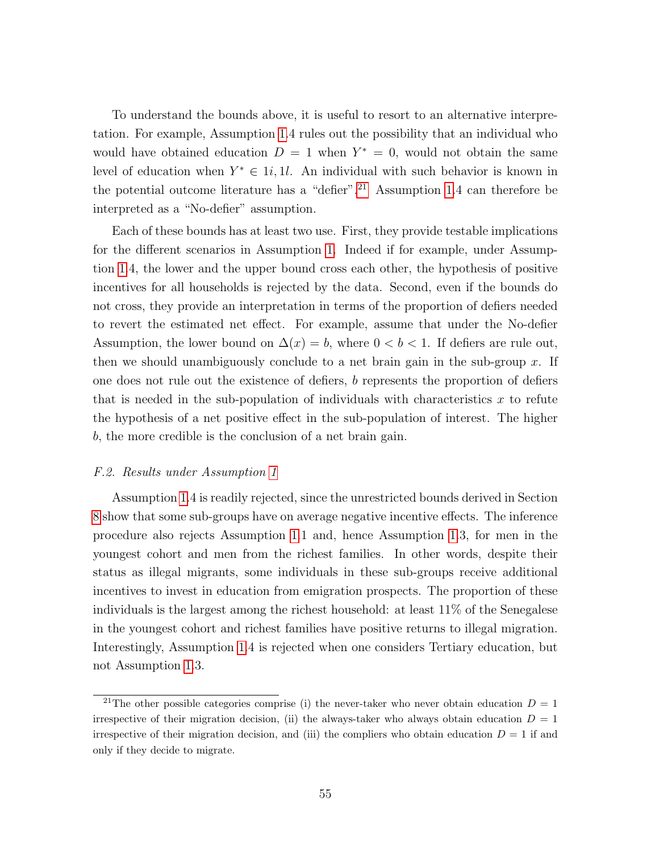To understand the bounds above, it is useful to resort to an alternative interpretation. For example, Assumption [1.](#page-52-2)4 rules out the possibility that an individual who would have obtained education  $D = 1$  when  $Y^* = 0$ , would not obtain the same level of education when  $Y^* \in \mathbb{1}i, \mathbb{1}l$ . An individual with such behavior is known in the potential outcome literature has a "defier".<sup>[21](#page-54-0)</sup> Assumption [1.](#page-52-2)4 can therefore be interpreted as a "No-defier" assumption.

Each of these bounds has at least two use. First, they provide testable implications for the different scenarios in Assumption [1.](#page-52-2) Indeed if for example, under Assumption [1.](#page-52-2)4, the lower and the upper bound cross each other, the hypothesis of positive incentives for all households is rejected by the data. Second, even if the bounds do not cross, they provide an interpretation in terms of the proportion of defiers needed to revert the estimated net effect. For example, assume that under the No-defier Assumption, the lower bound on  $\Delta(x) = b$ , where  $0 < b < 1$ . If defiers are rule out, then we should unambiguously conclude to a net brain gain in the sub-group  $x$ . If one does not rule out the existence of defiers, b represents the proportion of defiers that is needed in the sub-population of individuals with characteristics  $x$  to refute the hypothesis of a net positive effect in the sub-population of interest. The higher b, the more credible is the conclusion of a net brain gain.

### F.2. Results under Assumption [1](#page-52-2)

Assumption [1.](#page-52-2)4 is readily rejected, since the unrestricted bounds derived in Section [8](#page-26-0) show that some sub-groups have on average negative incentive effects. The inference procedure also rejects Assumption [1.](#page-52-2)1 and, hence Assumption [1.](#page-52-2)3, for men in the youngest cohort and men from the richest families. In other words, despite their status as illegal migrants, some individuals in these sub-groups receive additional incentives to invest in education from emigration prospects. The proportion of these individuals is the largest among the richest household: at least 11% of the Senegalese in the youngest cohort and richest families have positive returns to illegal migration. Interestingly, Assumption [1.](#page-52-2)4 is rejected when one considers Tertiary education, but not Assumption [1.](#page-52-2)3.

<span id="page-54-0"></span><sup>&</sup>lt;sup>21</sup>The other possible categories comprise (i) the never-taker who never obtain education  $D = 1$ irrespective of their migration decision, (ii) the always-taker who always obtain education  $D = 1$ irrespective of their migration decision, and (iii) the compliers who obtain education  $D = 1$  if and only if they decide to migrate.